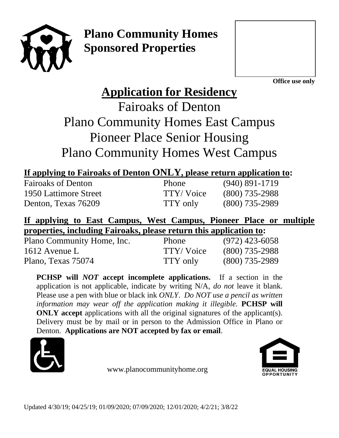

**Plano Community Homes Sponsored Properties**



**Office use only**

# **Application for Residency**

Fairoaks of Denton Plano Community Homes East Campus Pioneer Place Senior Housing Plano Community Homes West Campus

| If applying to Fairoaks of Denton ONLY, please return application to: |  |
|-----------------------------------------------------------------------|--|
|-----------------------------------------------------------------------|--|

| <b>Fairoaks of Denton</b> | Phone     | $(940)$ 891-1719 |
|---------------------------|-----------|------------------|
| 1950 Lattimore Street     | TTY/Voice | $(800)$ 735-2988 |
| Denton, Texas 76209       | TTY only  | $(800)$ 735-2989 |

# **If applying to East Campus, West Campus, Pioneer Place or multiple properties, including Fairoaks, please return this application to:**

| Plano Community Home, Inc. | <b>Phone</b> | $(972)$ 423-6058 |
|----------------------------|--------------|------------------|
| 1612 Avenue L              | TTY/Voice    | $(800)$ 735-2988 |
| Plano, Texas 75074         | TTY only     | $(800)$ 735-2989 |

**PCHSP will** *NOT* **accept incomplete applications.** If a section in the application is not applicable, indicate by writing N/A, *do not* leave it blank. Please use a pen with blue or black ink *ONLY*. *Do NOT use a pencil as written information may wear off the application making it illegible.* **PCHSP will ONLY** accept applications with all the original signatures of the applicant(s). Delivery must be by mail or in person to the Admission Office in Plano or Denton. **Applications are NOT accepted by fax or email**.



www.planocommunityhome.org

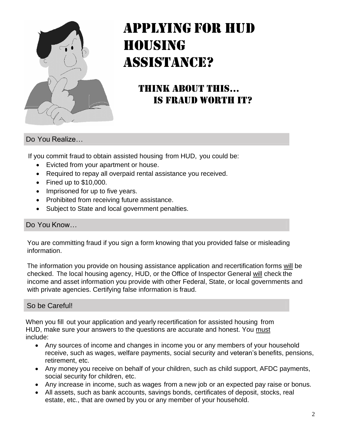

# APPLYING FOR HUD HOUSING ASSISTANCE?

# THINK ABOUT THIS… IS FRAUD WORTH IT?

#### Do You Realize…

If you commit fraud to obtain assisted housing from HUD, you could be:

- Evicted from your apartment or house.
- Required to repay all overpaid rental assistance you received.
- Fined up to \$10,000.
- Imprisoned for up to five years.
- Prohibited from receiving future assistance.
- Subject to State and local government penalties.

#### Do You Know…

You are committing fraud if you sign a form knowing that you provided false or misleading information.

The information you provide on housing assistance application and recertification forms will be checked. The local housing agency, HUD, or the Office of Inspector General will check the income and asset information you provide with other Federal, State, or local governments and with private agencies. Certifying false information is fraud.

#### So be Careful!

When you fill out your application and yearly recertification for assisted housing from HUD, make sure your answers to the questions are accurate and honest. You must include:

- Any sources of income and changes in income you or any members of your household receive, such as wages, welfare payments, social security and veteran's benefits, pensions, retirement, etc.
- Any money you receive on behalf of your children, such as child support, AFDC payments, social security for children, etc.
- Any increase in income, such as wages from a new job or an expected pay raise or bonus.
- All assets, such as bank accounts, savings bonds, certificates of deposit, stocks, real estate, etc., that are owned by you or any member of your household.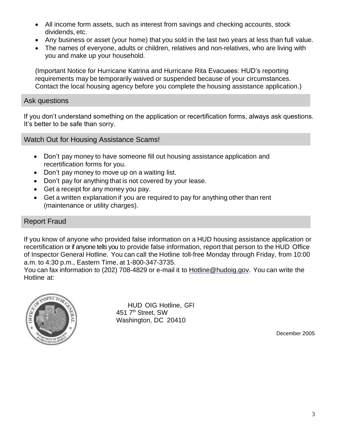- All income form assets, such as interest from savings and checking accounts, stock dividends, etc.
- Any business or asset (your home) that you sold in the last two years at less than full value.
- The names of everyone, adults or children, relatives and non-relatives, who are living with you and make up your household.

(Important Notice for Hurricane Katrina and Hurricane Rita Evacuees: HUD's reporting requirements may be temporarily waived or suspended because of your circumstances. Contact the local housing agency before you complete the housing assistance application.)

#### Ask questions

If you don't understand something on the application or recertification forms, always ask questions. It's better to be safe than sorry.

Watch Out for Housing Assistance Scams!

- Don't pay money to have someone fill out housing assistance application and recertification forms for you.
- Don't pay money to move up on a waiting list.
- Don't pay for anything that is not covered by your lease.
- Get a receipt for any money you pay.
- Get a written explanation if you are required to pay for anything other than rent (maintenance or utility charges).

#### Report Fraud

I

If you know of anyone who provided false information on a HUD housing assistance application or recertification or if anyone tells you to provide false information, report that person to the HUD Office of Inspector General Hotline. You can call the Hotline toll-free Monday through Friday, from 10:00 a.m. to 4:30 p.m., Eastern Time, at 1-800-347-3735.

You can fax information to (202) 708-4829 or e-mail it to [Hotline@hudoig.gov.](mailto:Hotline@hudoig.gov) You can write the Hotline at:



HUD OIG Hotline, GFI 451 7<sup>th</sup> Street, SW Washington, DC 20410

December 2005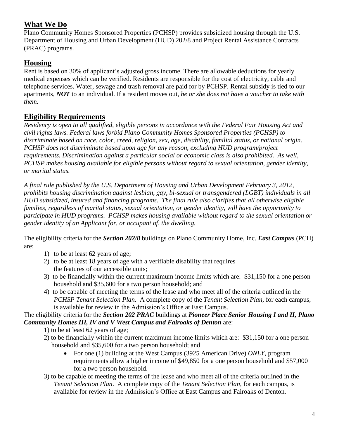### **What We Do**

Plano Community Homes Sponsored Properties (PCHSP) provides subsidized housing through the U.S. Department of Housing and Urban Development (HUD) 202/8 and Project Rental Assistance Contracts (PRAC) programs.

### **Housing**

Rent is based on 30% of applicant's adjusted gross income. There are allowable deductions for yearly medical expenses which can be verified. Residents are responsible for the cost of electricity, cable and telephone services. Water, sewage and trash removal are paid for by PCHSP. Rental subsidy is tied to our apartments, *NOT* to an individual. If a resident moves out, *he or she does not have a voucher to take with them.*

### **Eligibility Requirements**

*Residency is open to all qualified, eligible persons in accordance with the Federal Fair Housing Act and civil rights laws. Federal laws forbid Plano Community Homes Sponsored Properties (PCHSP) to discriminate based on race, color, creed, religion, sex, age, disability, familial status, or national origin. PCHSP does not discriminate based upon age for any reason, excluding HUD program/project requirements. Discrimination against a particular social or economic class is also prohibited. As well, PCHSP makes housing available for eligible persons without regard to sexual orientation, gender identity, or marital status.*

*A final rule published by the U.S. Department of Housing and Urban Development February 3, 2012, prohibits housing discrimination against lesbian, gay, bi-sexual or transgendered (LGBT) individuals in all HUD subsidized, insured and financing programs. The final rule also clarifies that all otherwise eligible families, regardless of marital status, sexual orientation, or gender identity, will have the opportunity to participate in HUD programs. PCHSP makes housing available without regard to the sexual orientation or gender identity of an Applicant for, or occupant of, the dwelling.* 

The eligibility criteria for the *Section 202/8* buildings on Plano Community Home, Inc. *East Campus* (PCH) are:

- 1) to be at least 62 years of age;
- 2) to be at least 18 years of age with a verifiable disability that requires the features of our accessible units;
- 3) to be financially within the current maximum income limits which are: \$31,150 for a one person household and \$35,600 for a two person household; and
- 4) to be capable of meeting the terms of the lease and who meet all of the criteria outlined in the *PCHSP Tenant Selection Plan*. A complete copy of the *Tenant Selection Plan,* for each campus, is available for review in the Admission's Office at East Campus.

#### The eligibility criteria for the *Section 202 PRAC* buildings at *Pioneer Place Senior Housing I and II, Plano Community Homes III, IV and V West Campus and Fairoaks of Denton* are:

- 1) to be at least 62 years of age;
- 2) to be financially within the current maximum income limits which are: \$31,150 for a one person household and \$35,600 for a two person household; and
	- For one (1) building at the West Campus (3925 American Drive) *ONLY*, program requirements allow a higher income of \$49,850 for a one person household and \$57,000 for a two person household.
- 3) to be capable of meeting the terms of the lease and who meet all of the criteria outlined in the *Tenant Selection Plan*. A complete copy of the *Tenant Selection Plan,* for each campus, is available for review in the Admission's Office at East Campus and Fairoaks of Denton.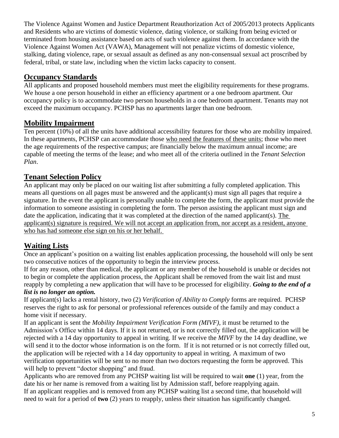The Violence Against Women and Justice Department Reauthorization Act of 2005/2013 protects Applicants and Residents who are victims of domestic violence, dating violence, or stalking from being evicted or terminated from housing assistance based on acts of such violence against them. In accordance with the Violence Against Women Act (VAWA), Management will not penalize victims of domestic violence, stalking, dating violence, rape, or sexual assault as defined as any non-consensual sexual act proscribed by federal, tribal, or state law, including when the victim lacks capacity to consent.

### **Occupancy Standards**

All applicants and proposed household members must meet the eligibility requirements for these programs. We house a one person household in either an efficiency apartment or a one bedroom apartment. Our occupancy policy is to accommodate two person households in a one bedroom apartment. Tenants may not exceed the maximum occupancy. PCHSP has no apartments larger than one bedroom.

### **Mobility Impairment**

Ten percent (10%) of all the units have additional accessibility features for those who are mobility impaired. In these apartments, PCHSP can accommodate those who need the features of these units; those who meet the age requirements of the respective campus; are financially below the maximum annual income; are capable of meeting the terms of the lease; and who meet all of the criteria outlined in the *Tenant Selection Plan*.

### **Tenant Selection Policy**

An applicant may only be placed on our waiting list after submitting a fully completed application. This means all questions on all pages must be answered and the applicant(s) must sign all pages that require a signature. In the event the applicant is personally unable to complete the form, the applicant must provide the information to someone assisting in completing the form. The person assisting the applicant must sign and date the application, indicating that it was completed at the direction of the named applicant(s). The applicant(s) signature is required. We will not accept an application from, nor accept as a resident, anyone who has had someone else sign on his or her behalf.

### **Waiting Lists**

Once an applicant's position on a waiting list enables application processing, the household will only be sent two consecutive notices of the opportunity to begin the interview process.

If for any reason, other than medical, the applicant or any member of the household is unable or decides not to begin or complete the application process, the Applicant shall be removed from the wait list and must reapply by completing a new application that will have to be processed for eligibility. *Going to the end of a list is no longer an option.*

If applicant(s) lacks a rental history, two (2) *Verification of Ability to Comply* forms are required. PCHSP reserves the right to ask for personal or professional references outside of the family and may conduct a home visit if necessary.

If an applicant is sent the *Mobility Impairment Verification Form (MIVF)*, it must be returned to the Admission's Office within 14 days. If it is not returned, or is not correctly filled out, the application will be rejected with a 14 day opportunity to appeal in writing. If we receive the *MIVF* by the 14 day deadline, we will send it to the doctor whose information is on the form. If it is not returned or is not correctly filled out, the application will be rejected with a 14 day opportunity to appeal in writing. A maximum of two verification opportunities will be sent to no more than two doctors requesting the form be approved. This will help to prevent "doctor shopping" and fraud.

Applicants who are removed from any PCHSP waiting list will be required to wait **one** (1) year, from the date his or her name is removed from a waiting list by Admission staff, before reapplying again. If an applicant reapplies and is removed from any PCHSP waiting list a second time, that household will need to wait for a period of **two** (2) years to reapply, unless their situation has significantly changed.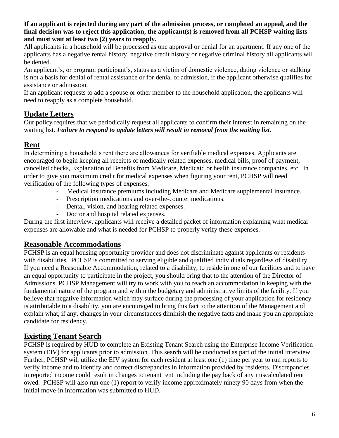#### **If an applicant is rejected during any part of the admission process, or completed an appeal, and the final decision was to reject this application, the applicant(s) is removed from all PCHSP waiting lists and must wait at least two (2) years to reapply***.*

All applicants in a household will be processed as one approval or denial for an apartment. If any one of the applicants has a negative rental history, negative credit history or negative criminal history all applicants will be denied.

An applicant's, or program participant's, status as a victim of domestic violence, dating violence or stalking is not a basis for denial of rental assistance or for denial of admission, if the applicant otherwise qualifies for assistance or admission.

If an applicant requests to add a spouse or other member to the household application, the applicants will need to reapply as a complete household.

# **Update Letters**

Our policy requires that we periodically request all applicants to confirm their interest in remaining on the waiting list. *Failure to respond to update letters will result in removal from the waiting list.*

### **Rent**

In determining a household's rent there are allowances for verifiable medical expenses. Applicants are encouraged to begin keeping all receipts of medically related expenses, medical bills, proof of payment, cancelled checks, Explanation of Benefits from Medicare, Medicaid or health insurance companies, etc. In order to give you maximum credit for medical expenses when figuring your rent, PCHSP will need verification of the following types of expenses.

- Medical insurance premiums including Medicare and Medicare supplemental insurance.
- Prescription medications and over-the-counter medications.
- Dental, vision, and hearing related expenses.
- Doctor and hospital related expenses.

During the first interview, applicants will receive a detailed packet of information explaining what medical expenses are allowable and what is needed for PCHSP to properly verify these expenses.

### **Reasonable Accommodations**

PCHSP is an equal housing opportunity provider and does not discriminate against applicants or residents with disabilities. PCHSP is committed to serving eligible and qualified individuals regardless of disability. If you need a Reasonable Accommodation, related to a disability, to reside in one of our facilities and to have an equal opportunity to participate in the project, you should bring that to the attention of the Director of Admissions. PCHSP Management will try to work with you to reach an accommodation in keeping with the fundamental nature of the program and within the budgetary and administrative limits of the facility. If you believe that negative information which may surface during the processing of your application for residency is attributable to a disability, you are encouraged to bring this fact to the attention of the Management and explain what, if any, changes in your circumstances diminish the negative facts and make you an appropriate candidate for residency.

### **Existing Tenant Search**

PCHSP is required by HUD to complete an Existing Tenant Search using the Enterprise Income Verification system (EIV) for applicants prior to admission. This search will be conducted as part of the initial interview. Further, PCHSP will utilize the EIV system for each resident at least one (1) time per year to run reports to verify income and to identify and correct discrepancies in information provided by residents. Discrepancies in reported income could result in changes to tenant rent including the pay back of any miscalculated rent owed. PCHSP will also run one (1) report to verify income approximately ninety 90 days from when the initial move-in information was submitted to HUD.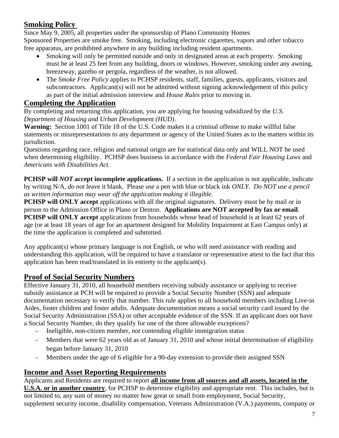### **Smoking Policy**

Since May 9, 2005, all properties under the sponsorship of Plano Community Homes Sponsored Properties are smoke free. Smoking, including electronic cigarettes, vapors and other tobacco free apparatus, are prohibited anywhere in any building including resident apartments.

- Smoking will only be permitted outside and only in designated areas at each property. Smoking must be at least 25 feet from any building, doors or windows. However, smoking under any awning, breezeway, gazebo or pergola, regardless of the weather, is not allowed.
- The *Smoke Free Policy* applies to PCHSP residents, staff, families, guests, applicants, visitors and subcontractors. Applicant(s) will not be admitted without signing acknowledgement of this policy as part of the initial admission interview and *House Rules* prior to moving in.

### **Completing the Application**

By completing and returning this application, you are applying for housing subsidized by the *U.S. Department of Housing and Urban Development (HUD)*.

**Warning:** Section 1001 of Title 18 of the U.S. Code makes it a criminal offense to make willful false statements or misrepresentations to any department or agency of the United States as to the matters within its jurisdiction.

Questions regarding race, religion and national origin are for statistical data only and WILL NOT be used when determining eligibility. PCHSP does business in accordance with the *Federal Fair Housing Laws* and *Americans with Disabilities Act*.

**PCHSP will** *NOT* accept incomplete applications. If a section in the application is not applicable, indicate by writing N/A, *do not* leave it blank. Please use a pen with blue or black ink *ONLY*. *Do NOT use a pencil as written information may wear off the application making it illegible.*

**PCHSP will ONLY accept** applications with all the original signatures. Delivery must be by mail or in person to the Admission Office in Plano or Denton. **Applications are NOT accepted by fax or email**. **PCHSP will ONLY accept** applications from households whose head of household is at least 62 years of age (or at least 18 years of age for an apartment designed for Mobility Impairment at East Campus only) at the time the application is completed and submitted.

Any applicant(s) whose primary language is not English, or who will need assistance with reading and understanding this application, will be required to have a translator or representative attest to the fact that this application has been read/translated in its entirety to the applicant(s).

### **Proof of Social Security Numbers**

Effective January 31, 2010, all household members receiving subsidy assistance or applying to receive subsidy assistance at PCH will be required to provide a Social Security Number (SSN) and adequate documentation necessary to verify that number. This rule applies to all household members including Live-in Aides, foster children and foster adults. Adequate documentation means a social security card issued by the Social Security Administration (SSA) or other acceptable evidence of the SSN. If an applicant does not have a Social Security Number, do they qualify for one of the three allowable exceptions?

- Ineligible, non-citizen member, *not* contending eligible immigration status
- Members that were 62 years old as of January 31, 2010 and whose initial determination of eligibility began before January 31, 2010
- Members under the age of 6 eligible for a 90-day extension to provide their assigned SSN

### **Income and Asset Reporting Requirements**

Applicants and Residents are required to report **all income from all sources and all assets, located in the U.S.A. or in another country**, for PCHSP to determine eligibility and appropriate rent. This includes, but is not limited to, any sum of money no matter how great or small from employment, Social Security, supplement security income, disability compensation, Veterans Administration (V.A.) payments, company or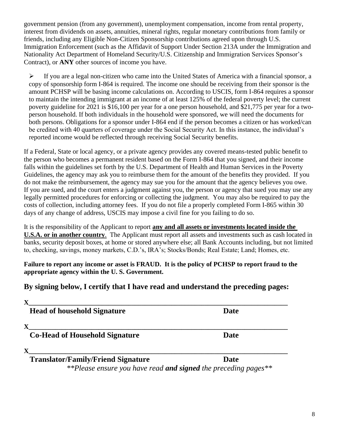government pension (from any government), unemployment compensation, income from rental property, interest from dividends on assets, annuities, mineral rights, regular monetary contributions from family or friends, including any Eligible Non-Citizen Sponsorship contributions agreed upon through U.S. Immigration Enforcement (such as the Affidavit of Support Under Section 213A under the Immigration and Nationality Act Department of Homeland Security/U.S. Citizenship and Immigration Services Sponsor's Contract), or **ANY** other sources of income you have.

➢ If you are a legal non-citizen who came into the United States of America with a financial sponsor, a copy of sponsorship form I-864 is required. The income one should be receiving from their sponsor is the amount PCHSP will be basing income calculations on. According to USCIS, form I-864 requires a sponsor to maintain the intending immigrant at an income of at least 125% of the federal poverty level; the current poverty guideline for 2021 is \$16,100 per year for a one person household, and \$21,775 per year for a twoperson household. If both individuals in the household were sponsored, we will need the documents for both persons. Obligations for a sponsor under I-864 end if the person becomes a citizen or has worked/can be credited with 40 quarters of coverage under the Social Security Act. In this instance, the individual's reported income would be reflected through receiving Social Security benefits.

If a Federal, State or local agency, or a private agency provides any covered means-tested public benefit to the person who becomes a permanent resident based on the Form I-864 that you signed, and their income falls within the guidelines set forth by the U.S. Department of Health and Human Services in the Poverty Guidelines, the agency may ask you to reimburse them for the amount of the benefits they provided. If you do not make the reimbursement, the agency may sue you for the amount that the agency believes you owe. If you are sued, and the court enters a judgment against you, the person or agency that sued you may use any legally permitted procedures for enforcing or collecting the judgment. You may also be required to pay the costs of collection, including attorney fees. If you do not file a properly completed Form I-865 within 30 days of any change of address, USCIS may impose a civil fine for you failing to do so.

It is the responsibility of the Applicant to report **any and all assets or investments located inside the U.S.A. or in another country**. The Applicant must report all assets and investments such as cash located in banks, security deposit boxes, at home or stored anywhere else; all Bank Accounts including, but not limited to, checking, savings, money markets, C.D.'s, IRA's; Stocks/Bonds; Real Estate; Land; Homes, etc.

**Failure to report any income or asset is FRAUD. It is the policy of PCHSP to report fraud to the appropriate agency within the U. S. Government.** 

### **By signing below, I certify that I have read and understand the preceding pages:**

| <b>Head of household Signature</b>                               | <b>Date</b> |
|------------------------------------------------------------------|-------------|
|                                                                  |             |
| <b>Co-Head of Household Signature</b>                            | <b>Date</b> |
|                                                                  |             |
| <b>Translator/Family/Friend Signature</b>                        | <b>Date</b> |
| $*$ $D2$ gramma vou have read and signed the preceding pages $*$ |             |

*\*\*Please ensure you have read and signed the preceding pages\*\**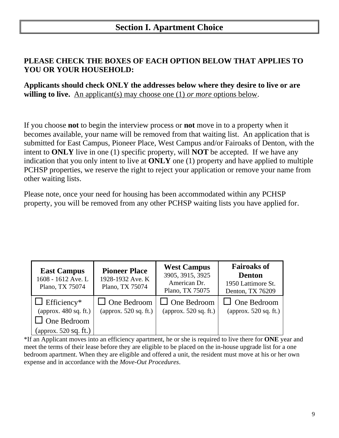## **Section I. Apartment Choice**

### **PLEASE CHECK THE BOXES OF EACH OPTION BELOW THAT APPLIES TO YOU OR YOUR HOUSEHOLD:**

**Applicants should check ONLY the addresses below where they desire to live or are willing to live.** An applicant(s) may choose one (1) *or more* options below.

If you choose **not** to begin the interview process or **not** move in to a property when it becomes available, your name will be removed from that waiting list. An application that is submitted for East Campus, Pioneer Place, West Campus and/or Fairoaks of Denton, with the intent to **ONLY** live in one (1) specific property, will **NOT** be accepted. If we have any indication that you only intent to live at **ONLY** one (1) property and have applied to multiple PCHSP properties, we reserve the right to reject your application or remove your name from other waiting lists.

Please note, once your need for housing has been accommodated within any PCHSP property, you will be removed from any other PCHSP waiting lists you have applied for.

| <b>East Campus</b><br>1608 - 1612 Ave. L<br>Plano, TX 75074 | <b>Pioneer Place</b><br>1928-1932 Ave. K<br>Plano, TX 75074 | <b>West Campus</b><br>3905, 3915, 3925<br>American Dr.<br>Plano, TX 75075 | <b>Fairoaks of</b><br><b>Denton</b><br>1950 Lattimore St.<br>Denton, TX 76209 |
|-------------------------------------------------------------|-------------------------------------------------------------|---------------------------------------------------------------------------|-------------------------------------------------------------------------------|
| $\Box$ Efficiency*                                          | $\Box$ One Bedroom                                          | $\Box$ One Bedroom                                                        | $\Box$ One Bedroom                                                            |
| (approx. $480$ sq. ft.)                                     | (approx. $520$ sq. ft.)                                     | (approx. $520$ sq. ft.)                                                   | (approx. $520$ sq. ft.)                                                       |
| $\Box$ One Bedroom                                          |                                                             |                                                                           |                                                                               |
| (approx. $520$ sq. ft.)                                     |                                                             |                                                                           |                                                                               |

\*If an Applicant moves into an efficiency apartment, he or she is required to live there for **ONE** year and meet the terms of their lease before they are eligible to be placed on the in-house upgrade list for a one bedroom apartment. When they are eligible and offered a unit, the resident must move at his or her own expense and in accordance with the *Move-Out Procedures*.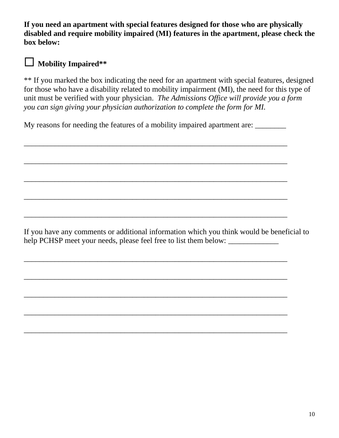**If you need an apartment with special features designed for those who are physically disabled and require mobility impaired (MI) features in the apartment, please check the box below:**



### **Mobility Impaired\*\***

\*\* If you marked the box indicating the need for an apartment with special features, designed for those who have a disability related to mobility impairment (MI), the need for this type of unit must be verified with your physician. *The Admissions Office will provide you a form you can sign giving your physician authorization to complete the form for MI.*

My reasons for needing the features of a mobility impaired apartment are:

\_\_\_\_\_\_\_\_\_\_\_\_\_\_\_\_\_\_\_\_\_\_\_\_\_\_\_\_\_\_\_\_\_\_\_\_\_\_\_\_\_\_\_\_\_\_\_\_\_\_\_\_\_\_\_\_\_\_\_\_\_\_\_\_\_\_\_\_

\_\_\_\_\_\_\_\_\_\_\_\_\_\_\_\_\_\_\_\_\_\_\_\_\_\_\_\_\_\_\_\_\_\_\_\_\_\_\_\_\_\_\_\_\_\_\_\_\_\_\_\_\_\_\_\_\_\_\_\_\_\_\_\_\_\_\_\_

\_\_\_\_\_\_\_\_\_\_\_\_\_\_\_\_\_\_\_\_\_\_\_\_\_\_\_\_\_\_\_\_\_\_\_\_\_\_\_\_\_\_\_\_\_\_\_\_\_\_\_\_\_\_\_\_\_\_\_\_\_\_\_\_\_\_\_\_

\_\_\_\_\_\_\_\_\_\_\_\_\_\_\_\_\_\_\_\_\_\_\_\_\_\_\_\_\_\_\_\_\_\_\_\_\_\_\_\_\_\_\_\_\_\_\_\_\_\_\_\_\_\_\_\_\_\_\_\_\_\_\_\_\_\_\_\_

\_\_\_\_\_\_\_\_\_\_\_\_\_\_\_\_\_\_\_\_\_\_\_\_\_\_\_\_\_\_\_\_\_\_\_\_\_\_\_\_\_\_\_\_\_\_\_\_\_\_\_\_\_\_\_\_\_\_\_\_\_\_\_\_\_\_\_\_

\_\_\_\_\_\_\_\_\_\_\_\_\_\_\_\_\_\_\_\_\_\_\_\_\_\_\_\_\_\_\_\_\_\_\_\_\_\_\_\_\_\_\_\_\_\_\_\_\_\_\_\_\_\_\_\_\_\_\_\_\_\_\_\_\_\_\_\_

\_\_\_\_\_\_\_\_\_\_\_\_\_\_\_\_\_\_\_\_\_\_\_\_\_\_\_\_\_\_\_\_\_\_\_\_\_\_\_\_\_\_\_\_\_\_\_\_\_\_\_\_\_\_\_\_\_\_\_\_\_\_\_\_\_\_\_\_

\_\_\_\_\_\_\_\_\_\_\_\_\_\_\_\_\_\_\_\_\_\_\_\_\_\_\_\_\_\_\_\_\_\_\_\_\_\_\_\_\_\_\_\_\_\_\_\_\_\_\_\_\_\_\_\_\_\_\_\_\_\_\_\_\_\_\_\_

\_\_\_\_\_\_\_\_\_\_\_\_\_\_\_\_\_\_\_\_\_\_\_\_\_\_\_\_\_\_\_\_\_\_\_\_\_\_\_\_\_\_\_\_\_\_\_\_\_\_\_\_\_\_\_\_\_\_\_\_\_\_\_\_\_\_\_\_

\_\_\_\_\_\_\_\_\_\_\_\_\_\_\_\_\_\_\_\_\_\_\_\_\_\_\_\_\_\_\_\_\_\_\_\_\_\_\_\_\_\_\_\_\_\_\_\_\_\_\_\_\_\_\_\_\_\_\_\_\_\_\_\_\_\_\_\_

If you have any comments or additional information which you think would be beneficial to help PCHSP meet your needs, please feel free to list them below: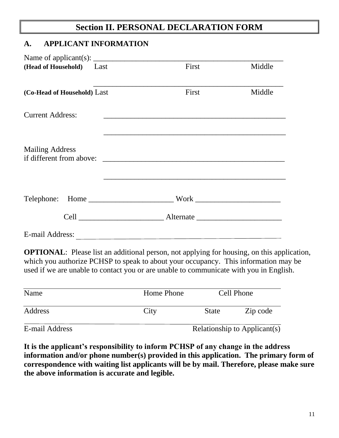# **Section II. PERSONAL DECLARATION FORM**

### **A. APPLICANT INFORMATION**

| Name of applicant(s): $\frac{1}{\sqrt{1-\frac{1}{2}}}\left  \frac{1}{\sqrt{1-\frac{1}{2}}}\right $ |       |        |
|----------------------------------------------------------------------------------------------------|-------|--------|
| (Head of Household) Last                                                                           | First | Middle |
|                                                                                                    |       |        |
| (Co-Head of Household) Last                                                                        | First | Middle |
| <b>Current Address:</b>                                                                            |       |        |
|                                                                                                    |       |        |
| <b>Mailing Address</b>                                                                             |       |        |
|                                                                                                    |       |        |
|                                                                                                    |       |        |
|                                                                                                    |       |        |
|                                                                                                    |       |        |
|                                                                                                    |       |        |
| E-mail Address:                                                                                    |       |        |

**OPTIONAL:** Please list an additional person, not applying for housing, on this application, which you authorize PCHSP to speak to about your occupancy. This information may be used if we are unable to contact you or are unable to communicate with you in English.

| Name           | Home Phone |              | Cell Phone                   |
|----------------|------------|--------------|------------------------------|
| Address        | City       | <b>State</b> | Zip code                     |
| E-mail Address |            |              | Relationship to Applicant(s) |

**It is the applicant's responsibility to inform PCHSP of any change in the address information and/or phone number(s) provided in this application. The primary form of correspondence with waiting list applicants will be by mail. Therefore, please make sure the above information is accurate and legible.**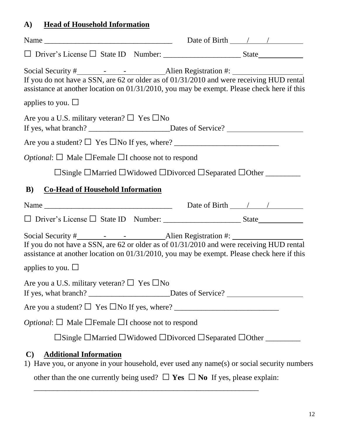# **A) Head of Household Information**

| Name $\frac{1}{\sqrt{1-\frac{1}{2}}\sqrt{1-\frac{1}{2}}\sqrt{1-\frac{1}{2}}\sqrt{1-\frac{1}{2}}\sqrt{1-\frac{1}{2}}\sqrt{1-\frac{1}{2}}\sqrt{1-\frac{1}{2}}\sqrt{1-\frac{1}{2}}\sqrt{1-\frac{1}{2}}\sqrt{1-\frac{1}{2}}\sqrt{1-\frac{1}{2}}\sqrt{1-\frac{1}{2}}\sqrt{1-\frac{1}{2}}\sqrt{1-\frac{1}{2}}\sqrt{1-\frac{1}{2}}\sqrt{1-\frac{1}{2}}\sqrt{1-\frac{1}{2}}\sqrt{1-\frac{1}{2}}\sqrt{1-\frac{1}{2}}\$ |  |
|---------------------------------------------------------------------------------------------------------------------------------------------------------------------------------------------------------------------------------------------------------------------------------------------------------------------------------------------------------------------------------------------------------------|--|
|                                                                                                                                                                                                                                                                                                                                                                                                               |  |
| If you do not have a SSN, are 62 or older as of 01/31/2010 and were receiving HUD rental<br>assistance at another location on 01/31/2010, you may be exempt. Please check here if this                                                                                                                                                                                                                        |  |
| applies to you. $\square$                                                                                                                                                                                                                                                                                                                                                                                     |  |
| Are you a U.S. military veteran? $\Box$ Yes $\Box$ No                                                                                                                                                                                                                                                                                                                                                         |  |
|                                                                                                                                                                                                                                                                                                                                                                                                               |  |
| <i>Optional</i> : $\Box$ Male $\Box$ Female $\Box$ I choose not to respond                                                                                                                                                                                                                                                                                                                                    |  |
|                                                                                                                                                                                                                                                                                                                                                                                                               |  |
| <b>Co-Head of Household Information</b><br>B)                                                                                                                                                                                                                                                                                                                                                                 |  |
|                                                                                                                                                                                                                                                                                                                                                                                                               |  |
|                                                                                                                                                                                                                                                                                                                                                                                                               |  |
| If you do not have a SSN, are $62$ or older as of $01/31/2010$ and were receiving HUD rental<br>assistance at another location on 01/31/2010, you may be exempt. Please check here if this                                                                                                                                                                                                                    |  |
| applies to you. $\Box$                                                                                                                                                                                                                                                                                                                                                                                        |  |
| Are you a U.S. military veteran? $\Box$ Yes $\Box$ No<br>If yes, what branch? _______________________Dates of Service? ___________________                                                                                                                                                                                                                                                                    |  |
|                                                                                                                                                                                                                                                                                                                                                                                                               |  |
| <i>Optional</i> : $\Box$ Male $\Box$ Female $\Box$ I choose not to respond                                                                                                                                                                                                                                                                                                                                    |  |
|                                                                                                                                                                                                                                                                                                                                                                                                               |  |
| <b>Additional Information</b><br>$\mathbf{C}$<br>1) Have you, or anyone in your household, ever used any name(s) or social security numbers<br>other than the one currently being used? $\Box$ Yes $\Box$ No If yes, please explain:                                                                                                                                                                          |  |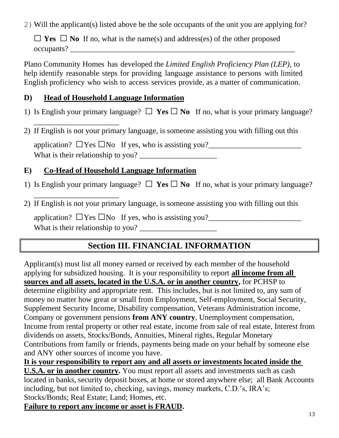2)Will the applicant(s) listed above be the sole occupants of the unit you are applying for?

□ **Yes** □ **No** If no, what is the name(s) and address(es) of the other proposed occupants? \_\_\_\_\_\_\_\_\_\_\_\_\_\_\_\_\_\_\_\_\_\_\_\_\_\_\_\_\_\_\_\_\_\_\_\_\_\_\_\_\_\_\_\_\_\_\_\_\_\_\_\_\_\_\_\_\_\_

Plano Community Homes has developed the *Limited English Proficiency Plan (LEP)*, to help identify reasonable steps for providing language assistance to persons with limited English proficiency who wish to access services provide, as a matter of communication.

### **D) Head of Household Language Information**

- 1) Is English your primary language?  $\Box$  **Yes**  $\Box$  **No** If no, what is your primary language?
- \_\_\_\_\_\_\_\_\_\_\_\_\_\_\_\_\_\_\_\_\_\_ 2) If English is not your primary language, is someone assisting you with filling out this

application?  $\Box$  Yes  $\Box$  No If yes, who is assisting you? What is their relationship to you?

## **E) Co-Head of Household Language Information**

\_\_\_\_\_\_\_\_\_\_\_\_\_\_\_\_\_\_\_\_\_\_

- 1) Is English your primary language?  $\Box$  **Yes**  $\Box$  **No** If no, what is your primary language?
- 2) If English is not your primary language, is someone assisting you with filling out this

application?  $\Box$  Yes  $\Box$  No If yes, who is assisting you? What is their relationship to you? \_\_\_\_\_\_\_\_\_\_\_\_\_\_\_\_\_\_\_\_

# **Section III. FINANCIAL INFORMATION**

Applicant(s) must list all money earned or received by each member of the household applying for subsidized housing. It is your responsibility to report **all income from all sources and all assets, located in the U.S.A. or in another country,** for PCHSP to determine eligibility and appropriate rent. This includes, but is not limited to, any sum of money no matter how great or small from Employment, Self-employment, Social Security, Supplement Security Income, Disability compensation, Veterans Administration income, Company or government pensions **from ANY country**, Unemployment compensation, Income from rental property or other real estate, income from sale of real estate, Interest from dividends on assets, Stocks/Bonds, Annuities, Mineral rights, Regular Monetary Contributions from family or friends, payments being made on your behalf by someone else and ANY other sources of income you have.

**It is your responsibility to report any and all assets or investments located inside the U.S.A. or in another country.** You must report all assets and investments such as cash located in banks, security deposit boxes, at home or stored anywhere else; all Bank Accounts including, but not limited to, checking, savings, money markets, C.D.'s, IRA's; Stocks/Bonds; Real Estate; Land; Homes, etc.

**Failure to report any income or asset is FRAUD.**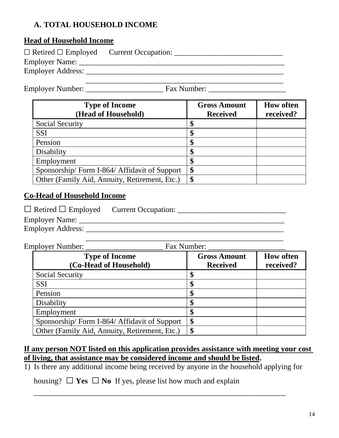### **A. TOTAL HOUSEHOLD INCOME**

### **Head of Household Income**

| $\Box$ Retired $\Box$ Employed | Current Occupation: |
|--------------------------------|---------------------|
| Employer Name:                 |                     |
| Employer Address:              |                     |
|                                |                     |

Employer Number: \_\_\_\_\_\_\_\_\_\_\_\_\_\_\_\_\_\_\_\_ Fax Number: \_\_\_\_\_\_\_\_\_\_\_\_\_\_\_\_\_\_\_\_

| <b>Type of Income</b><br>(Head of Household)  | <b>Gross Amount</b><br><b>Received</b> | <b>How often</b><br>received? |
|-----------------------------------------------|----------------------------------------|-------------------------------|
| <b>Social Security</b>                        |                                        |                               |
| <b>SSI</b>                                    |                                        |                               |
| Pension                                       |                                        |                               |
| Disability                                    |                                        |                               |
| Employment                                    |                                        |                               |
| Sponsorship/Form I-864/Affidavit of Support   | \$                                     |                               |
| Other (Family Aid, Annuity, Retirement, Etc.) | \$                                     |                               |

#### **Co-Head of Household Income**

| $\Box$ Retired $\Box$ Employed | <b>Current Occupation:</b> |
|--------------------------------|----------------------------|
| Employer Name:                 |                            |
| Employer Address:              |                            |

| Employer Number:                                | Fax Number:                            |                               |
|-------------------------------------------------|----------------------------------------|-------------------------------|
| <b>Type of Income</b><br>(Co-Head of Household) | <b>Gross Amount</b><br><b>Received</b> | <b>How often</b><br>received? |
| <b>Social Security</b>                          |                                        |                               |
| <b>SSI</b>                                      | \$                                     |                               |
| Pension                                         | \$                                     |                               |
| Disability                                      | \$                                     |                               |
| Employment                                      | \$                                     |                               |
| Sponsorship/Form I-864/Affidavit of Support     | \$                                     |                               |
| Other (Family Aid, Annuity, Retirement, Etc.)   | \$                                     |                               |

#### **If any person NOT listed on this application provides assistance with meeting your cost of living, that assistance may be considered income and should be listed.**

1) Is there any additional income being received by anyone in the household applying for

\_\_\_\_\_\_\_\_\_\_\_\_\_\_\_\_\_\_\_\_\_\_\_\_\_\_\_\_\_\_\_\_\_\_\_\_\_\_\_\_\_\_\_\_\_\_\_\_\_\_\_\_\_\_\_\_\_\_\_\_\_\_\_\_\_

housing?  $\Box$  **Yes**  $\Box$  **No** If yes, please list how much and explain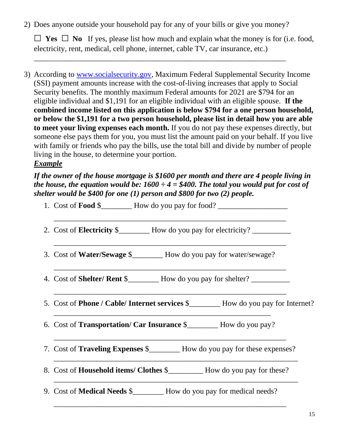2) Does anyone outside your household pay for any of your bills or give you money?

\_\_\_\_\_\_\_\_\_\_\_\_\_\_\_\_\_\_\_\_\_\_\_\_\_\_\_\_\_\_\_\_\_\_\_\_\_\_\_\_\_\_\_\_\_\_\_\_\_\_\_\_\_\_\_\_\_\_\_\_\_\_\_\_\_

 $\Box$  **Yes**  $\Box$  **No** If yes, please list how much and explain what the money is for (i.e. food, electricity, rent, medical, cell phone, internet, cable TV, car insurance, etc.)

3) According to [www.socialsecurity.gov,](http://www.socialsecurity.gov/) Maximum Federal Supplemental Security Income (SSI) payment amounts increase with the cost-of-living increases that apply to Social Security benefits. The monthly maximum Federal amounts for 2021 are \$794 for an eligible individual and \$1,191 for an eligible individual with an eligible spouse. **If the combined income listed on this application is below \$794 for a one person household, or below the \$1,191 for a two person household, please list in detail how you are able to meet your living expenses each month.** If you do not pay these expenses directly, but someone else pays them for you, you must list the amount paid on your behalf. If you live with family or friends who pay the bills, use the total bill and divide by number of people living in the house, to determine your portion. *Example*

### *If the owner of the house mortgage is \$1600 per month and there are 4 people living in the house, the equation would be:*  $1600 \div 4 = $400$ . The total you would put for cost of *shelter would be \$400 for one (1) person and \$800 for two (2) people.*

| 1. Cost of <b>Food</b> $\frac{1}{2}$ How do you pay for food?                             |
|-------------------------------------------------------------------------------------------|
|                                                                                           |
| 3. Cost of Water/Sewage \$_______ How do you pay for water/sewage?                        |
| 4. Cost of <b>Shelter/ Rent</b> \$___________ How do you pay for shelter? _____________   |
| 5. Cost of <b>Phone / Cable/ Internet services \$</b><br>100 How do you pay for Internet? |
| 6. Cost of <b>Transportation/ Car Insurance</b> \$___________ How do you pay?             |
| 7. Cost of <b>Traveling Expenses</b> \$__________ How do you pay for these expenses?      |
|                                                                                           |
| 9. Cost of <b>Medical Needs</b> \$_________ How do you pay for medical needs?             |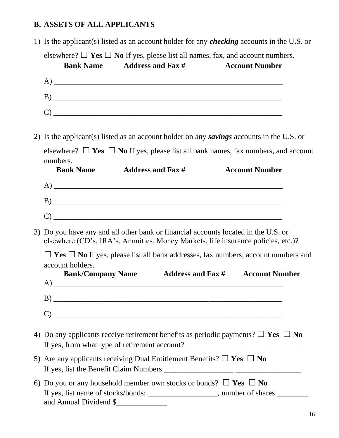### **B. ASSETS OF ALL APPLICANTS**

1) Is the applicant(s) listed as an account holder for any *checking* accounts in the U.S. or

elsewhere? □ **Yes** □ **No** If yes, please list all names, fax, and account numbers.<br>**Bank Name** Address and Fax # Account Number **Address and Fax #** 

| 2) Is the applicant(s) listed as an account holder on any savings accounts in the U.S. or                                                                                                                                                                                                                                                                 |
|-----------------------------------------------------------------------------------------------------------------------------------------------------------------------------------------------------------------------------------------------------------------------------------------------------------------------------------------------------------|
| elsewhere? $\Box$ Yes $\Box$ No If yes, please list all bank names, fax numbers, and account<br>numbers.                                                                                                                                                                                                                                                  |
| <b>Bank Name</b><br><b>Address and Fax #</b><br><b>Account Number</b>                                                                                                                                                                                                                                                                                     |
|                                                                                                                                                                                                                                                                                                                                                           |
|                                                                                                                                                                                                                                                                                                                                                           |
|                                                                                                                                                                                                                                                                                                                                                           |
| 3) Do you have any and all other bank or financial accounts located in the U.S. or<br>elsewhere (CD's, IRA's, Annuities, Money Markets, life insurance policies, etc.)?<br>$\Box$ Yes $\Box$ No If yes, please list all bank addresses, fax numbers, account numbers and<br>account holders.<br><b>Bank/Company Name</b> Address and Fax # Account Number |
|                                                                                                                                                                                                                                                                                                                                                           |
|                                                                                                                                                                                                                                                                                                                                                           |
|                                                                                                                                                                                                                                                                                                                                                           |
|                                                                                                                                                                                                                                                                                                                                                           |
| 4) Do any applicants receive retirement benefits as periodic payments? $\Box$ Yes $\Box$ No<br>If yes, from what type of retirement account? ___________________________________                                                                                                                                                                          |
| 5) Are any applicants receiving Dual Entitlement Benefits? $\Box$ Yes $\Box$ No                                                                                                                                                                                                                                                                           |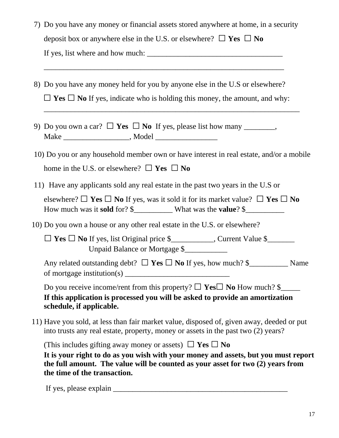| 7) Do you have any money or financial assets stored anywhere at home, in a security |
|-------------------------------------------------------------------------------------|
| deposit box or anywhere else in the U.S. or elsewhere? $\Box$ Yes $\Box$ No         |
| If yes, list where and how much:                                                    |

8) Do you have any money held for you by anyone else in the U.S or elsewhere?□ **Yes** □ **No** If yes, indicate who is holding this money, the amount, and why:

\_\_\_\_\_\_\_\_\_\_\_\_\_\_\_\_\_\_\_\_\_\_\_\_\_\_\_\_\_\_\_\_\_\_\_\_\_\_\_\_\_\_\_\_\_\_\_\_\_\_\_\_\_\_\_\_\_\_\_\_\_\_

- 9) Do you own a car?  $\Box$  **Yes**  $\Box$  **No** If yes, please list how many \_\_\_\_\_\_, Make \_\_\_\_\_\_\_\_\_\_\_\_\_\_\_\_\_, Model \_\_\_\_\_\_\_\_\_\_\_\_\_\_\_\_
- 10) Do you or any household member own or have interest in real estate, and/or a mobile home in the U.S. or elsewhere?  $\Box$  **Yes**  $\Box$  **No**

 $\overline{a_1}$  ,  $\overline{a_2}$  ,  $\overline{a_3}$  ,  $\overline{a_4}$  ,  $\overline{a_5}$  ,  $\overline{a_6}$  ,  $\overline{a_7}$  ,  $\overline{a_8}$  ,  $\overline{a_9}$  ,  $\overline{a_9}$  ,  $\overline{a_9}$  ,  $\overline{a_9}$  ,  $\overline{a_9}$  ,  $\overline{a_9}$  ,  $\overline{a_9}$  ,  $\overline{a_9}$  ,  $\overline{a_9}$  ,

- 11) Have any applicants sold any real estate in the past two years in the U.S or elsewhere?  $\Box$  **Yes**  $\Box$  **No** If yes, was it sold it for its market value?  $\Box$  **Yes**  $\Box$  **No** How much was it **sold** for? \$\_\_\_\_\_\_\_\_\_\_ What was the **value**? \$\_\_\_\_\_\_\_\_\_\_
- 10) Do you own a house or any other real estate in the U.S. or elsewhere?

□ **Yes** □ **No** If yes, list Original price \$\_\_\_\_\_\_\_\_\_\_\_, Current Value \$\_\_\_\_\_\_\_ Unpaid Balance or Mortgage \$\_\_\_\_\_\_\_\_\_\_\_

Any related outstanding debt? □ **Yes** □ **No** If yes, how much? \$\_\_\_\_\_\_\_\_\_\_ Name of mortgage institution(s)  $\qquad \qquad$ 

Do you receive income/rent from this property?  $\Box$  **Yes**  $\Box$  **No** How much? \$ **If this application is processed you will be asked to provide an amortization schedule, if applicable.** 

 11) Have you sold, at less than fair market value, disposed of, given away, deeded or put into trusts any real estate, property, money or assets in the past two (2) years?

(This includes gifting away money or assets)  $\Box$  **Yes**  $\Box$  **No** 

**It is your right to do as you wish with your money and assets, but you must report the full amount. The value will be counted as your asset for two (2) years from the time of the transaction.** 

If yes, please explain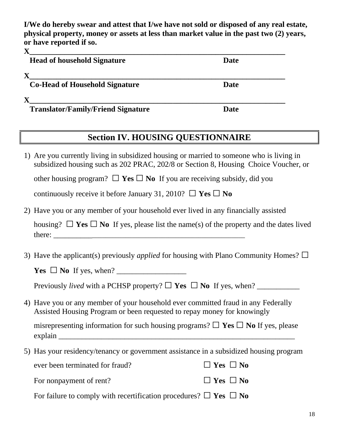**I/We do hereby swear and attest that I/we have not sold or disposed of any real estate, physical property, money or assets at less than market value in the past two (2) years, or have reported if so.**

| $\mathbf X$                               |             |
|-------------------------------------------|-------------|
| <b>Head of household Signature</b>        | <b>Date</b> |
|                                           |             |
| <b>Co-Head of Household Signature</b>     | <b>Date</b> |
|                                           |             |
| <b>Translator/Family/Friend Signature</b> | <b>Date</b> |

# **Section IV. HOUSING QUESTIONNAIRE**

1) Are you currently living in subsidized housing or married to someone who is living in subsidized housing such as 202 PRAC, 202/8 or Section 8, Housing Choice Voucher, or other housing program?  $\Box$  **Yes**  $\Box$  **No** If you are receiving subsidy, did you

continuously receive it before January 31, 2010?  $\Box$  **Yes**  $\Box$  **No** 

2) Have you or any member of your household ever lived in any financially assisted

housing?  $\Box$  **Yes**  $\Box$  **No** If yes, please list the name(s) of the property and the dates lived there:

3) Have the applicant(s) previously *applied* for housing with Plano Community Homes?  $\square$ 

 $Yes \Box No$  If yes, when?

Previously *lived* with a PCHSP property?  $\Box$  **Yes**  $\Box$  **No** If yes, when?

4) Have you or any member of your household ever committed fraud in any Federally Assisted Housing Program or been requested to repay money for knowingly

misrepresenting information for such housing programs?  $\Box$  **Yes**  $\Box$  **No** If yes, please explain and the set of the set of the set of the set of the set of the set of the set of the set of the set of the set of the set of the set of the set of the set of the set of the set of the set of the set of the set of t

5) Has your residency/tenancy or government assistance in a subsidized housing program

| ever been terminated for fraud? | $\Box$ Yes $\Box$ No |
|---------------------------------|----------------------|
| For nonpayment of rent?         | $\Box$ Yes $\Box$ No |

For failure to comply with recertification procedures?  $\Box$  **Yes**  $\Box$  **No**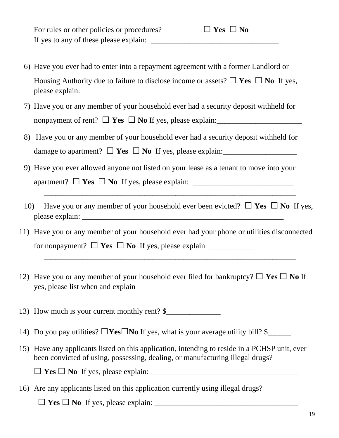6) Have you ever had to enter into a repayment agreement with a former Landlord or Housing Authority due to failure to disclose income or assets?  $\Box$  **Yes**  $\Box$  **No** If yes, please explain: \_\_\_\_\_\_\_\_\_\_\_\_\_\_\_\_\_\_\_\_\_\_\_\_\_\_\_\_\_\_\_\_\_\_\_\_\_\_\_\_\_\_\_\_\_\_\_\_\_\_\_\_

\_\_\_\_\_\_\_\_\_\_\_\_\_\_\_\_\_\_\_\_\_\_\_\_\_\_\_\_\_\_\_\_\_\_\_\_\_\_\_\_\_\_\_\_\_\_\_\_\_\_\_\_\_\_\_\_\_\_\_\_\_\_\_

- 7) Have you or any member of your household ever had a security deposit withheld for nonpayment of rent?  $\Box$  **Yes**  $\Box$  **No** If yes, please explain:
- 8) Have you or any member of your household ever had a security deposit withheld for damage to apartment?□ **Yes** □ **No** If yes, please explain:\_\_\_\_\_\_\_\_\_\_\_\_\_\_\_\_\_\_\_
- 9) Have you ever allowed anyone not listed on your lease as a tenant to move into your apartment?□ **Yes** □ **No** If yes, please explain: \_\_\_\_\_\_\_\_\_\_\_\_\_\_\_\_\_\_\_\_\_\_\_\_\_\_
- 10) Have you or any member of your household ever been evicted?  $\Box$  **Yes**  $\Box$  **No** If yes, please explain:

\_\_\_\_\_\_\_\_\_\_\_\_\_\_\_\_\_\_\_\_\_\_\_\_\_\_\_\_\_\_\_\_\_\_\_\_\_\_\_\_\_\_\_\_\_\_\_\_\_\_\_\_\_\_\_\_\_\_\_\_\_\_\_\_\_

11) Have you or any member of your household ever had your phone or utilities disconnected for nonpayment?  $\Box$  **Yes**  $\Box$  **No** If yes, please explain  $\Box$ 

\_\_\_\_\_\_\_\_\_\_\_\_\_\_\_\_\_\_\_\_\_\_\_\_\_\_\_\_\_\_\_\_\_\_\_\_\_\_\_\_\_\_\_\_\_\_\_\_\_\_\_\_\_\_\_\_\_\_\_\_\_\_\_\_\_

\_\_\_\_\_\_\_\_\_\_\_\_\_\_\_\_\_\_\_\_\_\_\_\_\_\_\_\_\_\_\_\_\_\_\_\_\_\_\_\_\_\_\_\_\_\_\_\_\_\_\_\_\_\_\_\_\_\_\_\_\_\_\_\_\_

12) Have you or any member of your household ever filed for bankruptcy?  $\Box$  **Yes**  $\Box$  **No** If yes, please list when and explain \_\_\_\_\_\_\_\_\_\_\_\_\_\_\_\_\_\_\_\_\_\_\_\_\_\_\_\_\_\_\_\_\_\_\_\_\_\_\_

13) How much is your current monthly rent? \$

- 14) Do you pay utilities?  $\Box$ **Yes** $\Box$ **No** If yes, what is your average utility bill? \$
- 15) Have any applicants listed on this application, intending to reside in a PCHSP unit, ever been convicted of using, possessing, dealing, or manufacturing illegal drugs?

 $\Box$  **Yes**  $\Box$  **No** If yes, please explain:

16) Are any applicants listed on this application currently using illegal drugs?

 $\Box$  **Yes**  $\Box$  **No** If yes, please explain: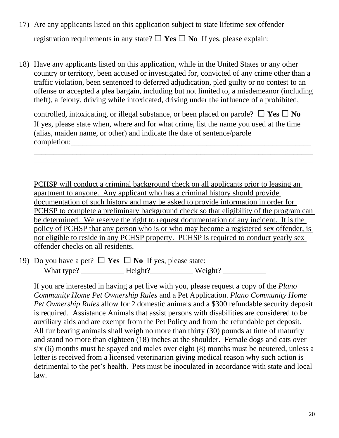- 17) Are any applicants listed on this application subject to state lifetime sex offender registration requirements in any state?  $\Box$  **Yes**  $\Box$  **No** If yes, please explain:
- 18) Have any applicants listed on this application, while in the United States or any other country or territory, been accused or investigated for, convicted of any crime other than a traffic violation, been sentenced to deferred adjudication, pled guilty or no contest to an offense or accepted a plea bargain, including but not limited to, a misdemeanor (including theft), a felony, driving while intoxicated, driving under the influence of a prohibited,

\_\_\_\_\_\_\_\_\_\_\_\_\_\_\_\_\_\_\_\_\_\_\_\_\_\_\_\_\_\_\_\_\_\_\_\_\_\_\_\_\_\_\_\_\_\_\_\_\_\_\_\_\_\_\_\_\_\_\_\_\_\_\_\_\_\_\_

controlled, intoxicating, or illegal substance, or been placed on parole?  $\Box$  **Yes**  $\Box$  **No** If yes, please state when, where and for what crime, list the name you used at the time (alias, maiden name, or other) and indicate the date of sentence/parole completion:

\_\_\_\_\_\_\_\_\_\_\_\_\_\_\_\_\_\_\_\_\_\_\_\_\_\_\_\_\_\_\_\_\_\_\_\_\_\_\_\_\_\_\_\_\_\_\_\_\_\_\_\_\_\_\_\_\_\_\_\_\_\_\_\_\_\_\_\_\_\_\_\_ \_\_\_\_\_\_\_\_\_\_\_\_\_\_\_\_\_\_\_\_\_\_\_\_\_\_\_\_\_\_\_\_\_\_\_\_\_\_\_\_\_\_\_\_\_\_\_\_\_\_\_\_\_\_\_\_\_\_\_\_\_\_\_\_\_\_\_\_\_\_\_\_

PCHSP will conduct a criminal background check on all applicants prior to leasing an apartment to anyone. Any applicant who has a criminal history should provide documentation of such history and may be asked to provide information in order for PCHSP to complete a preliminary background check so that eligibility of the program can be determined. We reserve the right to request documentation of any incident. It is the policy of PCHSP that any person who is or who may become a registered sex offender, is not eligible to reside in any PCHSP property. PCHSP is required to conduct yearly sex offender checks on all residents.

19) Do you have a pet?□ **Yes** □ **No** If yes, please state:

What type? \_\_\_\_\_\_\_\_\_\_\_ Height?\_\_\_\_\_\_\_\_\_\_\_ Weight? \_\_\_\_\_\_\_\_\_\_\_

\_\_\_\_\_\_\_\_\_\_\_\_\_\_\_\_\_\_\_\_\_\_\_\_\_\_\_\_\_\_\_\_\_\_\_\_\_\_\_\_\_\_\_\_\_\_\_\_\_\_\_\_\_\_\_\_\_\_\_\_

If you are interested in having a pet live with you, please request a copy of the *Plano Community Home Pet Ownership Rules* and a Pet Application. *Plano Community Home Pet Ownership Rules* allow for 2 domestic animals and a \$300 refundable security deposit is required. Assistance Animals that assist persons with disabilities are considered to be auxiliary aids and are exempt from the Pet Policy and from the refundable pet deposit. All fur bearing animals shall weigh no more than thirty (30) pounds at time of maturity and stand no more than eighteen (18) inches at the shoulder. Female dogs and cats over six (6) months must be spayed and males over eight (8) months must be neutered, unless a letter is received from a licensed veterinarian giving medical reason why such action is detrimental to the pet's health. Pets must be inoculated in accordance with state and local law.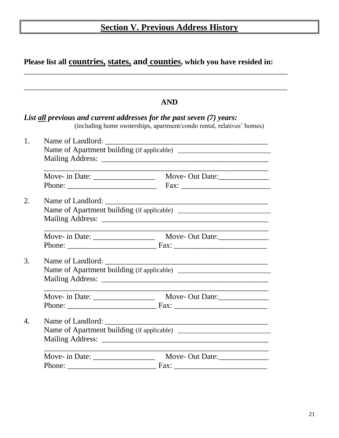# **Section V. Previous Address History**

|    | Please list all countries, states, and counties, which you have resided in: |                                                                                                                                                |  |
|----|-----------------------------------------------------------------------------|------------------------------------------------------------------------------------------------------------------------------------------------|--|
|    |                                                                             | <b>AND</b>                                                                                                                                     |  |
|    |                                                                             | List all previous and current addresses for the past seven (7) years:<br>(including home ownerships, apartment/condo rental, relatives' homes) |  |
| 1. |                                                                             |                                                                                                                                                |  |
|    |                                                                             |                                                                                                                                                |  |
|    |                                                                             |                                                                                                                                                |  |
|    |                                                                             |                                                                                                                                                |  |
| 2. |                                                                             | Name of Apartment building (if applicable)                                                                                                     |  |
|    |                                                                             |                                                                                                                                                |  |
|    |                                                                             |                                                                                                                                                |  |
| 3. |                                                                             |                                                                                                                                                |  |
|    |                                                                             |                                                                                                                                                |  |
|    |                                                                             |                                                                                                                                                |  |
| 4. |                                                                             |                                                                                                                                                |  |
|    |                                                                             | Move-Out Date:                                                                                                                                 |  |
|    |                                                                             |                                                                                                                                                |  |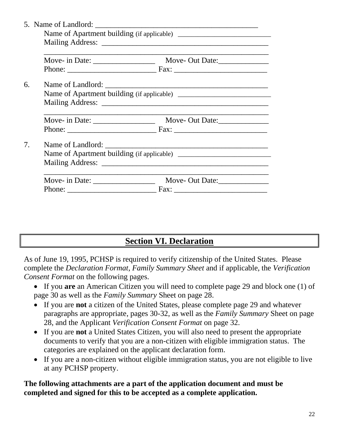| 6. |  |  |  |
|----|--|--|--|
|    |  |  |  |
|    |  |  |  |
|    |  |  |  |
|    |  |  |  |
| 7. |  |  |  |
|    |  |  |  |
|    |  |  |  |
|    |  |  |  |
|    |  |  |  |

# **Section VI. Declaration**

As of June 19, 1995, PCHSP is required to verify citizenship of the United States. Please complete the *Declaration Format*, *Family Summary Sheet* and if applicable, the *Verification Consent Format* on the following pages.

- If you **are** an American Citizen you will need to complete page 29 and block one (1) of page 30 as well as the *Family Summary* Sheet on page 28.
- If you are **not** a citizen of the United States, please complete page 29 and whatever paragraphs are appropriate, pages 30-32, as well as the *Family Summary* Sheet on page 28, and the Applicant *Verification Consent Format* on page 32.
- If you are **not** a United States Citizen, you will also need to present the appropriate documents to verify that you are a non-citizen with eligible immigration status. The categories are explained on the applicant declaration form.
- If you are a non-citizen without eligible immigration status, you are not eligible to live at any PCHSP property.

### **The following attachments are a part of the application document and must be completed and signed for this to be accepted as a complete application.**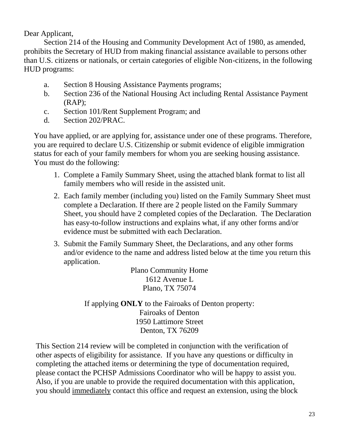Dear Applicant,

Section 214 of the Housing and Community Development Act of 1980, as amended, prohibits the Secretary of HUD from making financial assistance available to persons other than U.S. citizens or nationals, or certain categories of eligible Non-citizens, in the following HUD programs:

- a. Section 8 Housing Assistance Payments programs;
- b. Section 236 of the National Housing Act including Rental Assistance Payment  $(RAP)$ ;
- c. Section 101/Rent Supplement Program; and
- d. Section 202/PRAC.

You have applied, or are applying for, assistance under one of these programs. Therefore, you are required to declare U.S. Citizenship or submit evidence of eligible immigration status for each of your family members for whom you are seeking housing assistance. You must do the following:

- 1. Complete a Family Summary Sheet, using the attached blank format to list all family members who will reside in the assisted unit.
- 2. Each family member (including you) listed on the Family Summary Sheet must complete a Declaration. If there are 2 people listed on the Family Summary Sheet, you should have 2 completed copies of the Declaration. The Declaration has easy-to-follow instructions and explains what, if any other forms and/or evidence must be submitted with each Declaration.
- 3. Submit the Family Summary Sheet, the Declarations, and any other forms and/or evidence to the name and address listed below at the time you return this application.

Plano Community Home 1612 Avenue L Plano, TX 75074

If applying **ONLY** to the Fairoaks of Denton property: Fairoaks of Denton 1950 Lattimore Street Denton, TX 76209

This Section 214 review will be completed in conjunction with the verification of other aspects of eligibility for assistance. If you have any questions or difficulty in completing the attached items or determining the type of documentation required, please contact the PCHSP Admissions Coordinator who will be happy to assist you. Also, if you are unable to provide the required documentation with this application, you should immediately contact this office and request an extension, using the block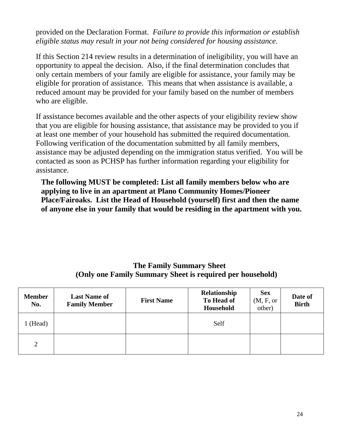provided on the Declaration Format. *Failure to provide this information or establish eligible status may result in your not being considered for housing assistance.*

If this Section 214 review results in a determination of ineligibility, you will have an opportunity to appeal the decision. Also, if the final determination concludes that only certain members of your family are eligible for assistance, your family may be eligible for proration of assistance. This means that when assistance is available, a reduced amount may be provided for your family based on the number of members who are eligible.

If assistance becomes available and the other aspects of your eligibility review show that you are eligible for housing assistance, that assistance may be provided to you if at least one member of your household has submitted the required documentation. Following verification of the documentation submitted by all family members, assistance may be adjusted depending on the immigration status verified. You will be contacted as soon as PCHSP has further information regarding your eligibility for assistance.

**The following MUST be completed: List all family members below who are applying to live in an apartment at Plano Community Homes/Pioneer Place/Fairoaks. List the Head of Household (yourself) first and then the name of anyone else in your family that would be residing in the apartment with you.**

#### **The Family Summary Sheet (Only one Family Summary Sheet is required per household)**

| <b>Member</b><br>No. | <b>Last Name of</b><br><b>Family Member</b> | <b>First Name</b> | Relationship<br>To Head of<br>Household | <b>Sex</b><br>(M, F, or<br>other) | Date of<br><b>Birth</b> |
|----------------------|---------------------------------------------|-------------------|-----------------------------------------|-----------------------------------|-------------------------|
| 1 (Head)             |                                             |                   | Self                                    |                                   |                         |
| $\overline{2}$       |                                             |                   |                                         |                                   |                         |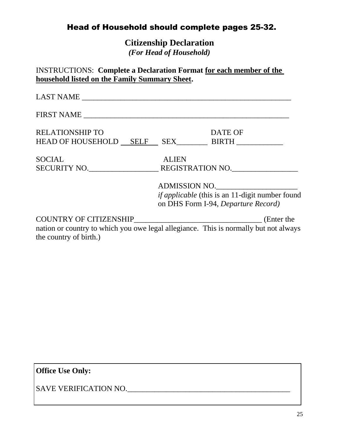# Head of Household should complete pages 25-32.

**Citizenship Declaration** *(For Head of Household)*

| <b>RELATIONSHIP TO</b> | DATE OF                                                                              |
|------------------------|--------------------------------------------------------------------------------------|
|                        |                                                                                      |
| <b>SOCIAL</b>          | <b>ALIEN</b>                                                                         |
|                        | SECURITY NO. REGISTRATION NO.                                                        |
|                        | ADMISSION NO.                                                                        |
|                        | <i>if applicable</i> (this is an 11-digit number found                               |
|                        | on DHS Form I-94, Departure Record)                                                  |
|                        |                                                                                      |
|                        | nation or country to which you owe legal allegiance. This is normally but not always |
| the country of birth.) |                                                                                      |

**Office Use Only:**

SAVE VERIFICATION NO.\_\_\_\_\_\_\_\_\_\_\_\_\_\_\_\_\_\_\_\_\_\_\_\_\_\_\_\_\_\_\_\_\_\_\_\_\_\_\_\_\_\_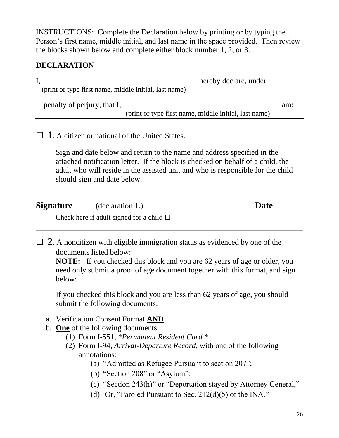INSTRUCTIONS: Complete the Declaration below by printing or by typing the Person's first name, middle initial, and last name in the space provided. Then review the blocks shown below and complete either block number 1, 2, or 3.

### **DECLARATION**

I, thereby declare, under (print or type first name, middle initial, last name) penalty of perjury, that I, \_\_\_\_\_\_\_\_\_\_\_\_\_\_\_\_\_\_\_\_\_\_\_\_\_\_\_\_\_\_\_\_\_\_\_\_\_\_\_\_, am: (print or type first name, middle initial, last name)

## $\Box$  **1**. A citizen or national of the United States.

Sign and date below and return to the name and address specified in the attached notification letter. If the block is checked on behalf of a child, the adult who will reside in the assisted unit and who is responsible for the child should sign and date below.

**\_\_\_\_\_\_\_\_\_\_\_\_\_\_\_\_\_\_\_\_\_\_\_\_\_\_\_\_\_\_\_\_\_\_\_\_\_\_\_\_\_ \_\_\_\_\_\_\_\_\_\_\_\_\_\_\_**

**Signature** (declaration 1.) **Date**

Check here if adult signed for a child  $\Box$ 

 $\Box$  **2**. A noncitizen with eligible immigration status as evidenced by one of the documents listed below:

**NOTE:** If you checked this block and you are 62 years of age or older, you need only submit a proof of age document together with this format, and sign below:

If you checked this block and you are less than 62 years of age, you should submit the following documents:

- a. Verification Consent Format **AND**
- b. **One** of the following documents:
	- (1) Form I-551, *\*Permanent Resident Card* \*
	- (2) Form I-94, *Arrival-Departure Record,* with one of the following annotations:
		- (a) "Admitted as Refugee Pursuant to section 207";
		- (b) "Section 208" or "Asylum";
		- (c) "Section 243(h)" or "Deportation stayed by Attorney General,"
		- (d) Or, "Paroled Pursuant to Sec.  $212(d)(5)$  of the INA."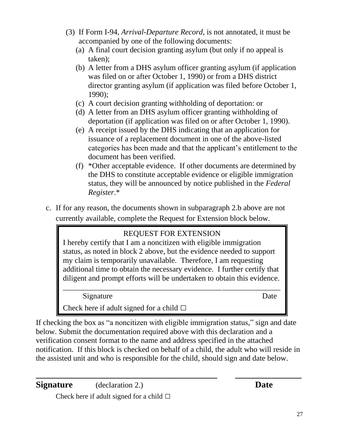- (3) If Form I-94, *Arrival-Departure Record,* is not annotated, it must be accompanied by one of the following documents:
	- (a) A final court decision granting asylum (but only if no appeal is taken);
	- (b) A letter from a DHS asylum officer granting asylum (if application was filed on or after October 1, 1990) or from a DHS district director granting asylum (if application was filed before October 1, 1990);
	- (c) A court decision granting withholding of deportation: or
	- (d) A letter from an DHS asylum officer granting withholding of deportation (if application was filed on or after October 1, 1990).
	- (e) A receipt issued by the DHS indicating that an application for issuance of a replacement document in one of the above-listed categories has been made and that the applicant's entitlement to the document has been verified.
	- (f) \*Other acceptable evidence. If other documents are determined by the DHS to constitute acceptable evidence or eligible immigration status, they will be announced by notice published in the *Federal Register*.\*
- c. If for any reason, the documents shown in subparagraph 2.b above are not currently available, complete the Request for Extension block below.

# REQUEST FOR EXTENSION

I hereby certify that I am a noncitizen with eligible immigration status, as noted in block 2 above, but the evidence needed to support my claim is temporarily unavailable. Therefore, I am requesting additional time to obtain the necessary evidence. I further certify that diligent and prompt efforts will be undertaken to obtain this evidence. \_\_\_\_\_\_\_\_\_\_\_\_\_\_\_\_\_\_\_\_\_\_\_\_\_\_\_\_\_\_\_\_\_\_\_\_\_\_\_\_\_\_\_\_\_\_\_\_\_\_\_\_\_\_\_\_

Signature Date

Check here if adult signed for a child  $\square$ 

If checking the box as "a noncitizen with eligible immigration status," sign and date below. Submit the documentation required above with this declaration and a verification consent format to the name and address specified in the attached notification. If this block is checked on behalf of a child, the adult who will reside in the assisted unit and who is responsible for the child, should sign and date below.

**\_\_\_\_\_\_\_\_\_\_\_\_\_\_\_\_\_\_\_\_\_\_\_\_\_\_\_\_\_\_\_\_\_\_\_\_\_\_\_\_\_ \_\_\_\_\_\_\_\_\_\_\_\_\_\_\_**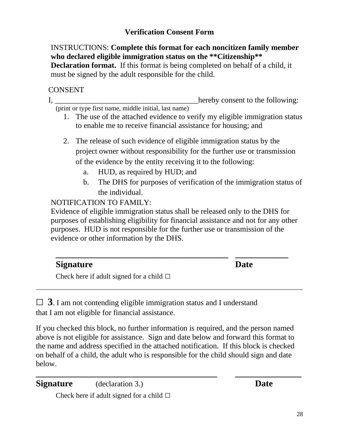### **Verification Consent Form**

INSTRUCTIONS: **Complete this format for each noncitizen family member who declared eligible immigration status on the \*\*Citizenship\*\* Declaration format.** If this format is being completed on behalf of a child, it must be signed by the adult responsible for the child.

### CONSENT

I, hereby consent to the following: (print or type first name, middle initial, last name)

- 1. The use of the attached evidence to verify my eligible immigration status to enable me to receive financial assistance for housing; and
- 2. The release of such evidence of eligible immigration status by the project owner without responsibility for the further use or transmission of the evidence by the entity receiving it to the following:
	- a. HUD, as required by HUD; and
	- b. The DHS for purposes of verification of the immigration status of the individual.

NOTIFICATION TO FAMILY:

Evidence of eligible immigration status shall be released only to the DHS for purposes of establishing eligibility for financial assistance and not for any other purposes. HUD is not responsible for the further use or transmission of the evidence or other information by the DHS.

| <b>Signature</b>                              | <b>Date</b> |  |
|-----------------------------------------------|-------------|--|
| Check here if adult signed for a child $\Box$ |             |  |

 $\Box$  **3**. I am not contending eligible immigration status and I understand that I am not eligible for financial assistance.

If you checked this block, no further information is required, and the person named above is not eligible for assistance. Sign and date below and forward this format to the name and address specified in the attached notification. If this block is checked on behalf of a child, the adult who is responsible for the child should sign and date below.

**\_\_\_\_\_\_\_\_\_\_\_\_\_\_\_\_\_\_\_\_\_\_\_\_\_\_\_\_\_\_\_\_\_\_\_\_\_\_\_\_\_ \_\_\_\_\_\_\_\_\_\_\_\_\_\_\_**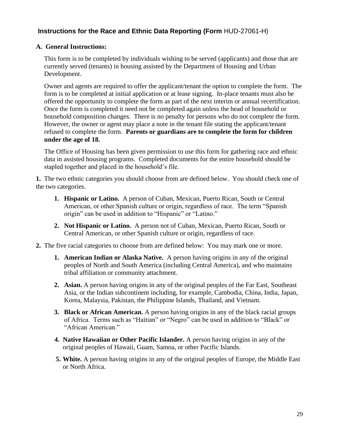#### **Instructions for the Race and Ethnic Data Reporting (Form** HUD-27061-H)

#### **A. General Instructions:**

This form is to be completed by individuals wishing to be served (applicants) and those that are currently served (tenants) in housing assisted by the Department of Housing and Urban Development.

Owner and agents are required to offer the applicant/tenant the option to complete the form. The form is to be completed at initial application or at lease signing. In-place tenants must also be offered the opportunity to complete the form as part of the next interim or annual recertification. Once the form is completed it need not be completed again unless the head of household or household composition changes. There is no penalty for persons who do not complete the form. However, the owner or agent may place a note in the tenant file stating the applicant/tenant refused to complete the form. **Parents or guardians are to complete the form for children under the age of 18.**

The Office of Housing has been given permission to use this form for gathering race and ethnic data in assisted housing programs. Completed documents for the entire household should be stapled together and placed in the household's file.

**1.** The two ethnic categories you should choose from are defined below. You should check one of the two categories.

- **1. Hispanic or Latino.** A person of Cuban, Mexican, Puerto Rican, South or Central American, or other Spanish culture or origin, regardless of race. The term "Spanish origin" can be used in addition to "Hispanic" or "Latino."
- **2. Not Hispanic or Latino.** A person not of Cuban, Mexican, Puerto Rican, South or Central American, or other Spanish culture or origin, regardless of race.
- **2.** The five racial categories to choose from are defined below: You may mark one or more.
	- **1. American Indian or Alaska Native.** A person having origins in any of the original peoples of North and South America (including Central America), and who maintains tribal affiliation or community attachment.
	- **2. Asian.** A person having origins in any of the original peoples of the Far East, Southeast Asia, or the Indian subcontinent including, for example, Cambodia, China, India, Japan, Korea, Malaysia, Pakistan, the Philippine Islands, Thailand, and Vietnam.
	- **3. Black or African American.** A person having origins in any of the black racial groups of Africa. Terms such as "Haitian" or "Negro" can be used in addition to "Black" or "African American."
	- **4. Native Hawaiian or Other Pacific Islander.** A person having origins in any of the original peoples of Hawaii, Guam, Samoa, or other Pacific Islands.
	- **5. White.** A person having origins in any of the original peoples of Europe, the Middle East or North Africa.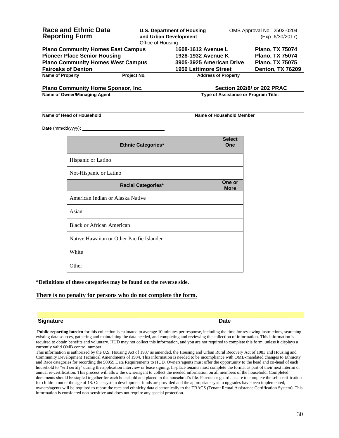| <b>Race and Ethnic Data</b>               | Office of Housing | <b>U.S. Department of Housing</b> | OMB Approval No. 2502-0204        |  |
|-------------------------------------------|-------------------|-----------------------------------|-----------------------------------|--|
| <b>Reporting Form</b>                     |                   | and Urban Development             | (Exp. 6/30/2017)                  |  |
| <b>Plano Community Homes East Campus</b>  |                   | 1608-1612 Avenue L                | <b>Plano, TX 75074</b>            |  |
| <b>Pioneer Place Senior Housing</b>       |                   | 1928-1932 Avenue K                | <b>Plano, TX 75074</b>            |  |
| <b>Plano Community Homes West Campus</b>  |                   | 3905-3925 American Drive          | <b>Plano, TX 75075</b>            |  |
| <b>Fairoaks of Denton</b>                 |                   | <b>1950 Lattimore Street</b>      | <b>Denton, TX 76209</b>           |  |
| <b>Name of Property</b>                   | Project No.       | <b>Address of Property</b>        |                                   |  |
| <b>Plano Community Home Sponsor, Inc.</b> |                   |                                   | <b>Section 202/8/ or 202 PRAC</b> |  |

**Name of Owner/Managing Agent Community Community Community Community Community Community Community Community Community Community Community Community Community Community Community Community Community Community Community Co** 

#### **Name of Head of Household Name of Household Name of Household Member**

**Date** (mm/dd/yyyy)**:** 

| <b>Ethnic Categories*</b>                 | <b>Select</b><br>One  |
|-------------------------------------------|-----------------------|
| Hispanic or Latino                        |                       |
| Not-Hispanic or Latino                    |                       |
| <b>Racial Categories*</b>                 | One or<br><b>More</b> |
| American Indian or Alaska Native          |                       |
| Asian                                     |                       |
| <b>Black or African American</b>          |                       |
| Native Hawaiian or Other Pacific Islander |                       |
| White                                     |                       |
| Other                                     |                       |

#### **\*Definitions of these categories may be found on the reverse side.**

#### **There is no penalty for persons who do not complete the form.**

#### **Signature Date**

**Public reporting burden** for this collection is estimated to average 10 minutes per response, including the time for reviewing instructions, searching existing data sources, gathering and maintaining the data needed, and completing and reviewing the collection of information. This information is required to obtain benefits and voluntary. HUD may not collect this information, and you are not required to complete this form, unless it displays a currently valid OMB control number.

**\_\_\_\_\_\_\_\_\_\_\_\_\_\_\_\_\_\_\_\_\_\_\_\_\_\_\_\_\_\_\_\_\_\_\_\_\_ \_\_\_\_\_\_\_\_\_\_\_\_\_\_\_\_\_\_\_\_\_\_\_\_\_\_\_\_**

This information is authorized by the U.S. Housing Act of 1937 as amended, the Housing and Urban Rural Recovery Act of 1983 and Housing and Community Development Technical Amendments of 1984. This information is needed to be incompliance with OMB-mandated changes to Ethnicity and Race categories for recording the 50059 Data Requirements to HUD. Owners/agents must offer the opportunity to the head and co-head of each household to "self certify' during the application interview or lease signing. In-place tenants must complete the format as part of their next interim or annual re-certification. This process will allow the owner/agent to collect the needed information on all members of the household. Completed documents should be stapled together for each household and placed in the household's file. Parents or guardians are to complete the self-certification for children under the age of 18. Once system development funds are provided and the appropriate system upgrades have been implemented, owners/agents will be required to report the race and ethnicity data electronically to the TRACS (Tenant Rental Assistance Certification System). This information is considered non-sensitive and does not require any special protection.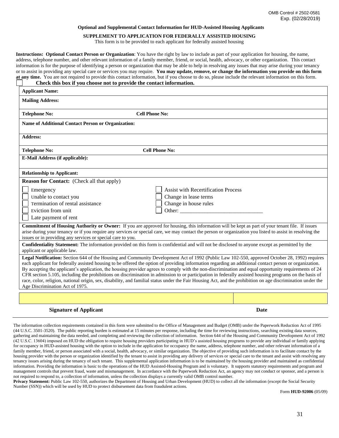#### **Optional and Supplemental Contact Information for HUD-Assisted Housing Applicants**

#### **SUPPLEMENT TO APPLICATION FOR FEDERALLY ASSISTED HOUSING**

This form is to be provided to each applicant for federally assisted housing

**Instructions: Optional Contact Person or Organization**: You have the right by law to include as part of your application for housing, the name, address, telephone number, and other relevant information of a family member, friend, or social, health, advocacy, or other organization. This contact information is for the purpose of identifying a person or organization that may be able to help in resolving any issues that may arise during your tenancy or to assist in providing any special care or services you may require. **You may update, remove, or change the information you provide on this form at any time.** You are not required to provide this contact information, but if you choose to do so, please include the relevant information on this form.

|                                                             | Check this box if you choose not to provide the contact information. |                                                                                                                                                                                                                                |                                                                                                                                                                                                                                                                                                                                                                                                                                                                                                                                                                                                                                                                                                                                                                                             |
|-------------------------------------------------------------|----------------------------------------------------------------------|--------------------------------------------------------------------------------------------------------------------------------------------------------------------------------------------------------------------------------|---------------------------------------------------------------------------------------------------------------------------------------------------------------------------------------------------------------------------------------------------------------------------------------------------------------------------------------------------------------------------------------------------------------------------------------------------------------------------------------------------------------------------------------------------------------------------------------------------------------------------------------------------------------------------------------------------------------------------------------------------------------------------------------------|
| <b>Applicant Name:</b>                                      |                                                                      |                                                                                                                                                                                                                                |                                                                                                                                                                                                                                                                                                                                                                                                                                                                                                                                                                                                                                                                                                                                                                                             |
| <b>Mailing Address:</b>                                     |                                                                      |                                                                                                                                                                                                                                |                                                                                                                                                                                                                                                                                                                                                                                                                                                                                                                                                                                                                                                                                                                                                                                             |
| <b>Telephone No:</b>                                        | <b>Cell Phone No:</b>                                                |                                                                                                                                                                                                                                |                                                                                                                                                                                                                                                                                                                                                                                                                                                                                                                                                                                                                                                                                                                                                                                             |
| <b>Name of Additional Contact Person or Organization:</b>   |                                                                      |                                                                                                                                                                                                                                |                                                                                                                                                                                                                                                                                                                                                                                                                                                                                                                                                                                                                                                                                                                                                                                             |
| <b>Address:</b>                                             |                                                                      |                                                                                                                                                                                                                                |                                                                                                                                                                                                                                                                                                                                                                                                                                                                                                                                                                                                                                                                                                                                                                                             |
| <b>Telephone No:</b>                                        |                                                                      | <b>Cell Phone No:</b>                                                                                                                                                                                                          |                                                                                                                                                                                                                                                                                                                                                                                                                                                                                                                                                                                                                                                                                                                                                                                             |
| <b>E-Mail Address (if applicable):</b>                      |                                                                      |                                                                                                                                                                                                                                |                                                                                                                                                                                                                                                                                                                                                                                                                                                                                                                                                                                                                                                                                                                                                                                             |
| <b>Relationship to Applicant:</b>                           |                                                                      |                                                                                                                                                                                                                                |                                                                                                                                                                                                                                                                                                                                                                                                                                                                                                                                                                                                                                                                                                                                                                                             |
| <b>Reason for Contact:</b> (Check all that apply)           |                                                                      |                                                                                                                                                                                                                                |                                                                                                                                                                                                                                                                                                                                                                                                                                                                                                                                                                                                                                                                                                                                                                                             |
| Emergency                                                   |                                                                      | <b>Assist with Recertification Process</b>                                                                                                                                                                                     |                                                                                                                                                                                                                                                                                                                                                                                                                                                                                                                                                                                                                                                                                                                                                                                             |
| Unable to contact you                                       |                                                                      | Change in lease terms                                                                                                                                                                                                          |                                                                                                                                                                                                                                                                                                                                                                                                                                                                                                                                                                                                                                                                                                                                                                                             |
| Termination of rental assistance                            |                                                                      | Change in house rules                                                                                                                                                                                                          |                                                                                                                                                                                                                                                                                                                                                                                                                                                                                                                                                                                                                                                                                                                                                                                             |
| Eviction from unit                                          |                                                                      | Other: We are a state of the contract of the contract of the contract of the contract of the contract of the contract of the contract of the contract of the contract of the contract of the contract of the contract of the c |                                                                                                                                                                                                                                                                                                                                                                                                                                                                                                                                                                                                                                                                                                                                                                                             |
| Late payment of rent                                        |                                                                      |                                                                                                                                                                                                                                |                                                                                                                                                                                                                                                                                                                                                                                                                                                                                                                                                                                                                                                                                                                                                                                             |
| issues or in providing any services or special care to you. |                                                                      |                                                                                                                                                                                                                                | Commitment of Housing Authority or Owner: If you are approved for housing, this information will be kept as part of your tenant file. If issues<br>arise during your tenancy or if you require any services or special care, we may contact the person or organization you listed to assist in resolving the                                                                                                                                                                                                                                                                                                                                                                                                                                                                                |
| applicant or applicable law.                                |                                                                      |                                                                                                                                                                                                                                | Confidentiality Statement: The information provided on this form is confidential and will not be disclosed to anyone except as permitted by the                                                                                                                                                                                                                                                                                                                                                                                                                                                                                                                                                                                                                                             |
| Age Discrimination Act of 1975.                             |                                                                      |                                                                                                                                                                                                                                | Legal Notification: Section 644 of the Housing and Community Development Act of 1992 (Public Law 102-550, approved October 28, 1992) requires<br>each applicant for federally assisted housing to be offered the option of providing information regarding an additional contact person or organization.<br>By accepting the applicant's application, the housing provider agrees to comply with the non-discrimination and equal opportunity requirements of 24<br>CFR section 5.105, including the prohibitions on discrimination in admission to or participation in federally assisted housing programs on the basis of<br>race, color, religion, national origin, sex, disability, and familial status under the Fair Housing Act, and the prohibition on age discrimination under the |
|                                                             |                                                                      |                                                                                                                                                                                                                                |                                                                                                                                                                                                                                                                                                                                                                                                                                                                                                                                                                                                                                                                                                                                                                                             |
| <b>Signature of Applicant</b>                               |                                                                      |                                                                                                                                                                                                                                | Date                                                                                                                                                                                                                                                                                                                                                                                                                                                                                                                                                                                                                                                                                                                                                                                        |

The information collection requirements contained in this form were submitted to the Office of Management and Budget (OMB) under the Paperwork Reduction Act of 1995 (44 U.S.C. 3501-3520). The public reporting burden is estimated at 15 minutes per response, including the time for reviewing instructions, searching existing data sources, gathering and maintaining the data needed, and completing and reviewing the collection of information. Section 644 of the Housing and Community Development Act of 1992 (42 U.S.C. 13604) imposed on HUD the obligation to require housing providers participating in HUD's assisted housing programs to provide any individual or family applying for occupancy in HUD-assisted housing with the option to include in the application for occupancy the name, address, telephone number, and other relevant information of a family member, friend, or person associated with a social, health, advocacy, or similar organization. The objective of providing such information is to facilitate contact by the housing provider with the person or organization identified by the tenant to assist in providing any delivery of services or special care to the tenant and assist with resolving any tenancy issues arising during the tenancy of such tenant. This supplemental application information is to be maintained by the housing provider and maintained as confidential information. Providing the information is basic to the operations of the HUD Assisted-Housing Program and is voluntary. It supports statutory requirements and program and management controls that prevent fraud, waste and mismanagement. In accordance with the Paperwork Reduction Act, an agency may not conduct or sponsor, and a person is not required to respond to, a collection of information, unless the collection displays a currently valid OMB control number.

**Privacy Statement:** Public Law 102-550, authorizes the Department of Housing and Urban Development (HUD) to collect all the information (except the Social Security Number (SSN)) which will be used by HUD to protect disbursement data from fraudulent actions.

Form **HUD-92006** (05/09)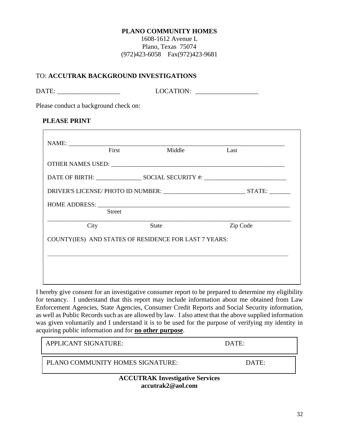#### **PLANO COMMUNITY HOMES**

1608-1612 Avenue L Plano, Texas 75074 (972)423-6058 Fax(972)423-9681

#### TO: **ACCUTRAK BACKGROUND INVESTIGATIONS**

| <b>DATE</b><br>--- | I OCATION |
|--------------------|-----------|
|                    |           |

Please conduct a background check on:

#### **PLEASE PRINT**

| First                                                 | Middle       | Last     |
|-------------------------------------------------------|--------------|----------|
|                                                       |              |          |
|                                                       |              |          |
|                                                       |              |          |
|                                                       |              |          |
| <b>Street</b>                                         |              |          |
| City                                                  | <b>State</b> | Zip Code |
| COUNTY(IES) AND STATES OF RESIDENCE FOR LAST 7 YEARS: |              |          |
|                                                       |              |          |
|                                                       |              |          |
|                                                       |              |          |
|                                                       |              |          |

I hereby give consent for an investigative consumer report to be prepared to determine my eligibility for tenancy. I understand that this report may include information about me obtained from Law Enforcement Agencies, State Agencies, Consumer Credit Reports and Social Security information, as well as Public Records such as are allowed by law. I also attest that the above supplied information was given voluntarily and I understand it is to be used for the purpose of verifying my identity in acquiring public information and for **no other purpose**.

| <b>APPLICANT SIGNATURE:</b>            | DATE: |  |
|----------------------------------------|-------|--|
| PLANO COMMUNITY HOMES SIGNATURE:       | DATE: |  |
| <b>ACCUTRAK Investigative Services</b> |       |  |

**accutrak2@aol.com**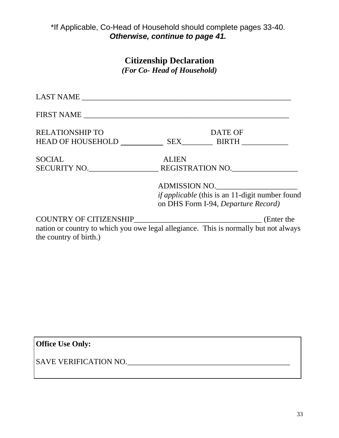#### ad of household should co<br>Arwise continue to nage *(For Co-Head of Household)* \*If Applicable, Co-Head of Household should complete pages 33-40. *Otherwise, continue to page 41.*

# **Citizenship Declaration**

*(For Co- Head of Household)*

| <b>RELATIONSHIP TO</b>                                                               |              | <b>DATE OF</b>                                         |
|--------------------------------------------------------------------------------------|--------------|--------------------------------------------------------|
| HEAD OF HOUSEHOLD SEX BIRTH                                                          |              |                                                        |
| <b>SOCIAL</b>                                                                        | <b>ALIEN</b> |                                                        |
| SECURITY NO. REGISTRATION NO.                                                        |              |                                                        |
|                                                                                      |              | ADMISSION NO.                                          |
|                                                                                      |              | <i>if applicable</i> (this is an 11-digit number found |
|                                                                                      |              | on DHS Form I-94, Departure Record)                    |
|                                                                                      |              | (Enter the                                             |
| nation or country to which you owe legal allegiance. This is normally but not always |              |                                                        |
| the country of birth.)                                                               |              |                                                        |

**Office Use Only:**

SAVE VERIFICATION NO.\_\_\_\_\_\_\_\_\_\_\_\_\_\_\_\_\_\_\_\_\_\_\_\_\_\_\_\_\_\_\_\_\_\_\_\_\_\_\_\_\_\_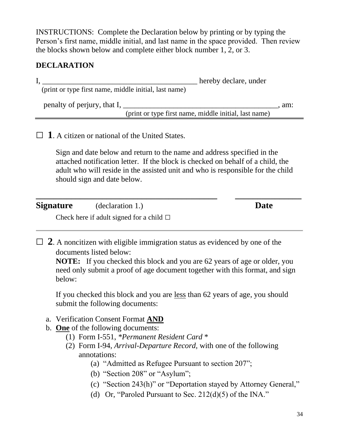INSTRUCTIONS: Complete the Declaration below by printing or by typing the Person's first name, middle initial, and last name in the space provided. Then review the blocks shown below and complete either block number 1, 2, or 3.

### **DECLARATION**

I, thereby declare, under (print or type first name, middle initial, last name) penalty of perjury, that I, \_\_\_\_\_\_\_\_\_\_\_\_\_\_\_\_\_\_\_\_\_\_\_\_\_\_\_\_\_\_\_\_\_\_\_\_\_\_\_\_, am: (print or type first name, middle initial, last name)

## $\Box$  **1**. A citizen or national of the United States.

Sign and date below and return to the name and address specified in the attached notification letter. If the block is checked on behalf of a child, the adult who will reside in the assisted unit and who is responsible for the child should sign and date below.

**\_\_\_\_\_\_\_\_\_\_\_\_\_\_\_\_\_\_\_\_\_\_\_\_\_\_\_\_\_\_\_\_\_\_\_\_\_\_\_\_\_ \_\_\_\_\_\_\_\_\_\_\_\_\_\_\_**

**Signature** (declaration 1.) **Date**

Check here if adult signed for a child  $\Box$ 

 $\Box$  **2**. A noncitizen with eligible immigration status as evidenced by one of the documents listed below:

**NOTE:** If you checked this block and you are 62 years of age or older, you need only submit a proof of age document together with this format, and sign below:

If you checked this block and you are less than 62 years of age, you should submit the following documents:

- a. Verification Consent Format **AND**
- b. **One** of the following documents:
	- (1) Form I-551, *\*Permanent Resident Card* \*
	- (2) Form I-94, *Arrival-Departure Record,* with one of the following annotations:
		- (a) "Admitted as Refugee Pursuant to section 207";
		- (b) "Section 208" or "Asylum";
		- (c) "Section 243(h)" or "Deportation stayed by Attorney General,"
		- (d) Or, "Paroled Pursuant to Sec.  $212(d)(5)$  of the INA."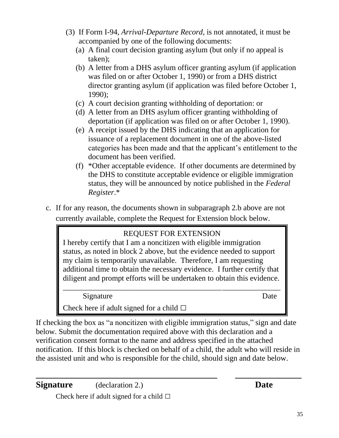- (3) If Form I-94, *Arrival-Departure Record,* is not annotated, it must be accompanied by one of the following documents:
	- (a) A final court decision granting asylum (but only if no appeal is taken);
	- (b) A letter from a DHS asylum officer granting asylum (if application was filed on or after October 1, 1990) or from a DHS district director granting asylum (if application was filed before October 1, 1990);
	- (c) A court decision granting withholding of deportation: or
	- (d) A letter from an DHS asylum officer granting withholding of deportation (if application was filed on or after October 1, 1990).
	- (e) A receipt issued by the DHS indicating that an application for issuance of a replacement document in one of the above-listed categories has been made and that the applicant's entitlement to the document has been verified.
	- (f) \*Other acceptable evidence. If other documents are determined by the DHS to constitute acceptable evidence or eligible immigration status, they will be announced by notice published in the *Federal Register*.\*
- c. If for any reason, the documents shown in subparagraph 2.b above are not currently available, complete the Request for Extension block below.

# REQUEST FOR EXTENSION

I hereby certify that I am a noncitizen with eligible immigration status, as noted in block 2 above, but the evidence needed to support my claim is temporarily unavailable. Therefore, I am requesting additional time to obtain the necessary evidence. I further certify that diligent and prompt efforts will be undertaken to obtain this evidence. \_\_\_\_\_\_\_\_\_\_\_\_\_\_\_\_\_\_\_\_\_\_\_\_\_\_\_\_\_\_\_\_\_\_\_\_\_\_\_\_\_\_\_\_\_\_\_\_\_\_\_\_\_\_\_\_

Signature Date

Check here if adult signed for a child  $\square$ 

If checking the box as "a noncitizen with eligible immigration status," sign and date below. Submit the documentation required above with this declaration and a verification consent format to the name and address specified in the attached notification. If this block is checked on behalf of a child, the adult who will reside in the assisted unit and who is responsible for the child, should sign and date below.

**\_\_\_\_\_\_\_\_\_\_\_\_\_\_\_\_\_\_\_\_\_\_\_\_\_\_\_\_\_\_\_\_\_\_\_\_\_\_\_\_\_ \_\_\_\_\_\_\_\_\_\_\_\_\_\_\_**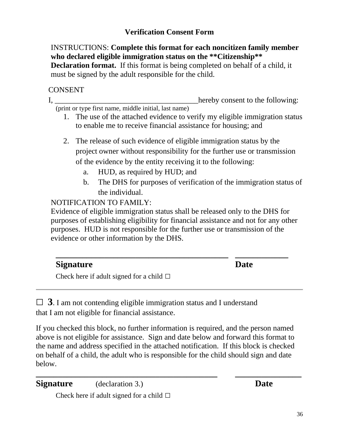### **Verification Consent Form**

INSTRUCTIONS: **Complete this format for each noncitizen family member who declared eligible immigration status on the \*\*Citizenship\*\* Declaration format.** If this format is being completed on behalf of a child, it must be signed by the adult responsible for the child.

### CONSENT

I, hereby consent to the following: (print or type first name, middle initial, last name)

- 1. The use of the attached evidence to verify my eligible immigration status to enable me to receive financial assistance for housing; and
- 2. The release of such evidence of eligible immigration status by the project owner without responsibility for the further use or transmission of the evidence by the entity receiving it to the following:
	- a. HUD, as required by HUD; and
	- b. The DHS for purposes of verification of the immigration status of the individual.

NOTIFICATION TO FAMILY:

Evidence of eligible immigration status shall be released only to the DHS for purposes of establishing eligibility for financial assistance and not for any other purposes. HUD is not responsible for the further use or transmission of the evidence or other information by the DHS.

| <b>Signature</b>                              | <b>Date</b> |  |
|-----------------------------------------------|-------------|--|
| Check here if adult signed for a child $\Box$ |             |  |

 $\Box$  **3**. I am not contending eligible immigration status and I understand that I am not eligible for financial assistance.

If you checked this block, no further information is required, and the person named above is not eligible for assistance. Sign and date below and forward this format to the name and address specified in the attached notification. If this block is checked on behalf of a child, the adult who is responsible for the child should sign and date below.

**\_\_\_\_\_\_\_\_\_\_\_\_\_\_\_\_\_\_\_\_\_\_\_\_\_\_\_\_\_\_\_\_\_\_\_\_\_\_\_\_\_ \_\_\_\_\_\_\_\_\_\_\_\_\_\_\_**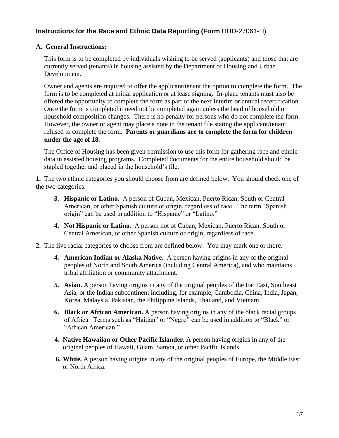#### **Instructions for the Race and Ethnic Data Reporting (Form** HUD-27061-H)

#### **A. General Instructions:**

This form is to be completed by individuals wishing to be served (applicants) and those that are currently served (tenants) in housing assisted by the Department of Housing and Urban Development.

Owner and agents are required to offer the applicant/tenant the option to complete the form. The form is to be completed at initial application or at lease signing. In-place tenants must also be offered the opportunity to complete the form as part of the next interim or annual recertification. Once the form is completed it need not be completed again unless the head of household or household composition changes. There is no penalty for persons who do not complete the form. However, the owner or agent may place a note in the tenant file stating the applicant/tenant refused to complete the form. **Parents or guardians are to complete the form for children under the age of 18.**

The Office of Housing has been given permission to use this form for gathering race and ethnic data in assisted housing programs. Completed documents for the entire household should be stapled together and placed in the household's file.

**1.** The two ethnic categories you should choose from are defined below. You should check one of the two categories.

- **3. Hispanic or Latino.** A person of Cuban, Mexican, Puerto Rican, South or Central American, or other Spanish culture or origin, regardless of race. The term "Spanish origin" can be used in addition to "Hispanic" or "Latino."
- **4. Not Hispanic or Latino.** A person not of Cuban, Mexican, Puerto Rican, South or Central American, or other Spanish culture or origin, regardless of race.
- **2.** The five racial categories to choose from are defined below: You may mark one or more.
	- **4. American Indian or Alaska Native.** A person having origins in any of the original peoples of North and South America (including Central America), and who maintains tribal affiliation or community attachment.
	- **5. Asian.** A person having origins in any of the original peoples of the Far East, Southeast Asia, or the Indian subcontinent including, for example, Cambodia, China, India, Japan, Korea, Malaysia, Pakistan, the Philippine Islands, Thailand, and Vietnam.
	- **6. Black or African American.** A person having origins in any of the black racial groups of Africa. Terms such as "Haitian" or "Negro" can be used in addition to "Black" or "African American."
	- **4. Native Hawaiian or Other Pacific Islander.** A person having origins in any of the original peoples of Hawaii, Guam, Samoa, or other Pacific Islands.
	- **6. White.** A person having origins in any of the original peoples of Europe, the Middle East or North Africa.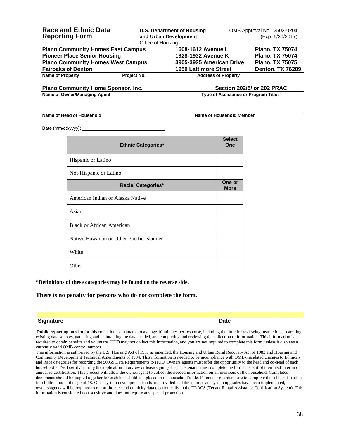| <b>Race and Ethnic Data</b><br><b>Reporting Form</b>                            | Office of Housing | <b>U.S. Department of Housing</b><br>and Urban Development | OMB Approval No. 2502-0204<br>(Exp. 6/30/2017)   |
|---------------------------------------------------------------------------------|-------------------|------------------------------------------------------------|--------------------------------------------------|
| <b>Plano Community Homes East Campus</b><br><b>Pioneer Place Senior Housing</b> |                   | 1608-1612 Avenue L<br>1928-1932 Avenue K                   | <b>Plano, TX 75074</b><br><b>Plano, TX 75074</b> |
| <b>Plano Community Homes West Campus</b>                                        |                   | 3905-3925 American Drive                                   | <b>Plano, TX 75075</b>                           |
| <b>Fairoaks of Denton</b><br><b>Name of Property</b>                            | Project No.       | <b>1950 Lattimore Street</b><br><b>Address of Property</b> | <b>Denton, TX 76209</b>                          |
| <b>Plano Community Home Sponsor, Inc.</b>                                       |                   |                                                            | <b>Section 202/8/ or 202 PRAC</b>                |

**Name of Owner/Managing Agent Community Community Community Community Community Community Community Community Community Community Community Community Community Community Community Community Community Community Community Co** 

#### **Name of Head of Household Name of Household Name of Household Member**

**Date** (mm/dd/yyyy)**:** 

| <b>Ethnic Categories*</b>                 | <b>Select</b><br>One  |
|-------------------------------------------|-----------------------|
| Hispanic or Latino                        |                       |
| Not-Hispanic or Latino                    |                       |
| <b>Racial Categories*</b>                 | One or<br><b>More</b> |
| American Indian or Alaska Native          |                       |
| Asian                                     |                       |
| <b>Black or African American</b>          |                       |
| Native Hawaiian or Other Pacific Islander |                       |
| White                                     |                       |
| Other                                     |                       |

#### **\*Definitions of these categories may be found on the reverse side.**

#### **There is no penalty for persons who do not complete the form.**

#### **Signature Date**

**Public reporting burden** for this collection is estimated to average 10 minutes per response, including the time for reviewing instructions, searching existing data sources, gathering and maintaining the data needed, and completing and reviewing the collection of information. This information is required to obtain benefits and voluntary. HUD may not collect this information, and you are not required to complete this form, unless it displays a currently valid OMB control number.

**\_\_\_\_\_\_\_\_\_\_\_\_\_\_\_\_\_\_\_\_\_\_\_\_\_\_\_\_\_\_\_\_\_\_\_\_\_ \_\_\_\_\_\_\_\_\_\_\_\_\_\_\_\_\_\_\_\_\_\_\_\_\_\_\_\_**

This information is authorized by the U.S. Housing Act of 1937 as amended, the Housing and Urban Rural Recovery Act of 1983 and Housing and Community Development Technical Amendments of 1984. This information is needed to be incompliance with OMB-mandated changes to Ethnicity and Race categories for recording the 50059 Data Requirements to HUD. Owners/agents must offer the opportunity to the head and co-head of each household to "self certify' during the application interview or lease signing. In-place tenants must complete the format as part of their next interim or annual re-certification. This process will allow the owner/agent to collect the needed information on all members of the household. Completed documents should be stapled together for each household and placed in the household's file. Parents or guardians are to complete the self-certification for children under the age of 18. Once system development funds are provided and the appropriate system upgrades have been implemented, owners/agents will be required to report the race and ethnicity data electronically to the TRACS (Tenant Rental Assistance Certification System). This information is considered non-sensitive and does not require any special protection.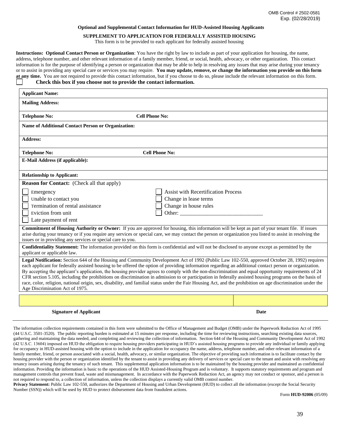#### **Optional and Supplemental Contact Information for HUD-Assisted Housing Applicants**

#### **SUPPLEMENT TO APPLICATION FOR FEDERALLY ASSISTED HOUSING**

This form is to be provided to each applicant for federally assisted housing

**Instructions: Optional Contact Person or Organization**: You have the right by law to include as part of your application for housing, the name, address, telephone number, and other relevant information of a family member, friend, or social, health, advocacy, or other organization. This contact information is for the purpose of identifying a person or organization that may be able to help in resolving any issues that may arise during your tenancy or to assist in providing any special care or services you may require. **You may update, remove, or change the information you provide on this form at any time.** You are not required to provide this contact information, but if you choose to do so, please include the relevant information on this form. **Check this box if you choose not to provide the contact information.**

| <b>Applicant Name:</b>                                      |                                                                                                                                                                                                                                                                                                                                                                                                                                                                                                                                                                                                                                                                                                                                                                                             |  |
|-------------------------------------------------------------|---------------------------------------------------------------------------------------------------------------------------------------------------------------------------------------------------------------------------------------------------------------------------------------------------------------------------------------------------------------------------------------------------------------------------------------------------------------------------------------------------------------------------------------------------------------------------------------------------------------------------------------------------------------------------------------------------------------------------------------------------------------------------------------------|--|
| <b>Mailing Address:</b>                                     |                                                                                                                                                                                                                                                                                                                                                                                                                                                                                                                                                                                                                                                                                                                                                                                             |  |
| <b>Telephone No:</b>                                        | <b>Cell Phone No:</b>                                                                                                                                                                                                                                                                                                                                                                                                                                                                                                                                                                                                                                                                                                                                                                       |  |
| <b>Name of Additional Contact Person or Organization:</b>   |                                                                                                                                                                                                                                                                                                                                                                                                                                                                                                                                                                                                                                                                                                                                                                                             |  |
| <b>Address:</b>                                             |                                                                                                                                                                                                                                                                                                                                                                                                                                                                                                                                                                                                                                                                                                                                                                                             |  |
| <b>Telephone No:</b>                                        | <b>Cell Phone No:</b>                                                                                                                                                                                                                                                                                                                                                                                                                                                                                                                                                                                                                                                                                                                                                                       |  |
| <b>E-Mail Address (if applicable):</b>                      |                                                                                                                                                                                                                                                                                                                                                                                                                                                                                                                                                                                                                                                                                                                                                                                             |  |
| <b>Relationship to Applicant:</b>                           |                                                                                                                                                                                                                                                                                                                                                                                                                                                                                                                                                                                                                                                                                                                                                                                             |  |
| <b>Reason for Contact:</b> (Check all that apply)           |                                                                                                                                                                                                                                                                                                                                                                                                                                                                                                                                                                                                                                                                                                                                                                                             |  |
| Emergency                                                   | <b>Assist with Recertification Process</b>                                                                                                                                                                                                                                                                                                                                                                                                                                                                                                                                                                                                                                                                                                                                                  |  |
| Unable to contact you                                       | Change in lease terms                                                                                                                                                                                                                                                                                                                                                                                                                                                                                                                                                                                                                                                                                                                                                                       |  |
| Termination of rental assistance                            | Change in house rules                                                                                                                                                                                                                                                                                                                                                                                                                                                                                                                                                                                                                                                                                                                                                                       |  |
| Eviction from unit                                          |                                                                                                                                                                                                                                                                                                                                                                                                                                                                                                                                                                                                                                                                                                                                                                                             |  |
| Late payment of rent                                        |                                                                                                                                                                                                                                                                                                                                                                                                                                                                                                                                                                                                                                                                                                                                                                                             |  |
| issues or in providing any services or special care to you. | <b>Commitment of Housing Authority or Owner:</b> If you are approved for housing, this information will be kept as part of your tenant file. If issues<br>arise during your tenancy or if you require any services or special care, we may contact the person or organization you listed to assist in resolving the                                                                                                                                                                                                                                                                                                                                                                                                                                                                         |  |
| applicant or applicable law.                                | Confidentiality Statement: The information provided on this form is confidential and will not be disclosed to anyone except as permitted by the                                                                                                                                                                                                                                                                                                                                                                                                                                                                                                                                                                                                                                             |  |
| Age Discrimination Act of 1975.                             | Legal Notification: Section 644 of the Housing and Community Development Act of 1992 (Public Law 102-550, approved October 28, 1992) requires<br>each applicant for federally assisted housing to be offered the option of providing information regarding an additional contact person or organization.<br>By accepting the applicant's application, the housing provider agrees to comply with the non-discrimination and equal opportunity requirements of 24<br>CFR section 5.105, including the prohibitions on discrimination in admission to or participation in federally assisted housing programs on the basis of<br>race, color, religion, national origin, sex, disability, and familial status under the Fair Housing Act, and the prohibition on age discrimination under the |  |
|                                                             |                                                                                                                                                                                                                                                                                                                                                                                                                                                                                                                                                                                                                                                                                                                                                                                             |  |
| <b>Signature of Applicant</b>                               | Date                                                                                                                                                                                                                                                                                                                                                                                                                                                                                                                                                                                                                                                                                                                                                                                        |  |

The information collection requirements contained in this form were submitted to the Office of Management and Budget (OMB) under the Paperwork Reduction Act of 1995 (44 U.S.C. 3501-3520). The public reporting burden is estimated at 15 minutes per response, including the time for reviewing instructions, searching existing data sources, gathering and maintaining the data needed, and completing and reviewing the collection of information. Section 644 of the Housing and Community Development Act of 1992 (42 U.S.C. 13604) imposed on HUD the obligation to require housing providers participating in HUD's assisted housing programs to provide any individual or family applying for occupancy in HUD-assisted housing with the option to include in the application for occupancy the name, address, telephone number, and other relevant information of a family member, friend, or person associated with a social, health, advocacy, or similar organization. The objective of providing such information is to facilitate contact by the housing provider with the person or organization identified by the tenant to assist in providing any delivery of services or special care to the tenant and assist with resolving any tenancy issues arising during the tenancy of such tenant. This supplemental application information is to be maintained by the housing provider and maintained as confidential information. Providing the information is basic to the operations of the HUD Assisted-Housing Program and is voluntary. It supports statutory requirements and program and management controls that prevent fraud, waste and mismanagement. In accordance with the Paperwork Reduction Act, an agency may not conduct or sponsor, and a person is not required to respond to, a collection of information, unless the collection displays a currently valid OMB control number.

**Privacy Statement:** Public Law 102-550, authorizes the Department of Housing and Urban Development (HUD) to collect all the information (except the Social Security Number (SSN)) which will be used by HUD to protect disbursement data from fraudulent actions.

Form **HUD-92006** (05/09)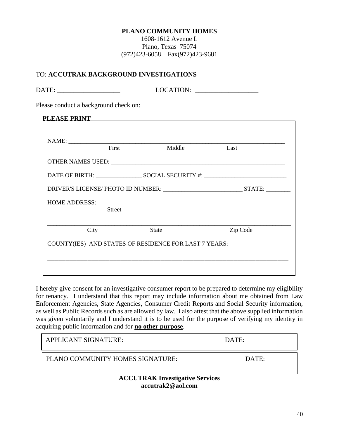#### **PLANO COMMUNITY HOMES**

1608-1612 Avenue L Plano, Texas 75074 (972)423-6058 Fax(972)423-9681

#### TO: **ACCUTRAK BACKGROUND INVESTIGATIONS**

|               | Please conduct a background check on: |          |
|---------------|---------------------------------------|----------|
|               | <b>PLEASE PRINT Example 2014</b>      |          |
|               |                                       |          |
| First         | Middle                                | Last     |
|               |                                       |          |
|               |                                       |          |
|               |                                       |          |
|               |                                       |          |
| <b>Street</b> |                                       |          |
| City          | <b>State</b>                          | Zip Code |

I hereby give consent for an investigative consumer report to be prepared to determine my eligibility for tenancy. I understand that this report may include information about me obtained from Law Enforcement Agencies, State Agencies, Consumer Credit Reports and Social Security information, as well as Public Records such as are allowed by law. I also attest that the above supplied information was given voluntarily and I understand it is to be used for the purpose of verifying my identity in acquiring public information and for **no other purpose**.

\_\_\_\_\_\_\_\_\_\_\_\_\_\_\_\_\_\_\_\_\_\_\_\_\_\_\_\_\_\_\_\_\_\_\_\_\_\_\_\_\_\_\_\_\_\_\_\_\_\_\_\_\_\_\_\_\_\_\_\_\_\_\_\_\_\_

| <b>APPLICANT SIGNATURE:</b>                                      | DATE: |  |  |
|------------------------------------------------------------------|-------|--|--|
| PLANO COMMUNITY HOMES SIGNATURE:                                 | DATE: |  |  |
| <b>ACCUTRAK Investigative Services</b><br>$\lambda$ 1.4 $\cap$ 1 |       |  |  |

**accutrak2@aol.com**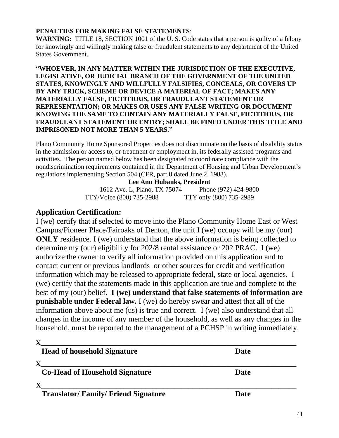#### **PENALTIES FOR MAKING FALSE STATEMENTS**:

**WARNING:** TITLE 18, SECTION 1001 of the U.S. Code states that a person is guilty of a felony for knowingly and willingly making false or fraudulent statements to any department of the United States Government.

#### **"WHOEVER, IN ANY MATTER WITHIN THE JURISDICTION OF THE EXECUTIVE, LEGISLATIVE, OR JUDICIAL BRANCH OF THE GOVERNMENT OF THE UNITED STATES, KNOWINGLY AND WILLFULLY FALSIFIES, CONCEALS, OR COVERS UP BY ANY TRICK, SCHEME OR DEVICE A MATERIAL OF FACT; MAKES ANY MATERIALLY FALSE, FICTITIOUS, OR FRAUDULANT STATEMENT OR REPRESENTATION; OR MAKES OR USES ANY FALSE WRITING OR DOCUMENT KNOWING THE SAME TO CONTAIN ANY MATERIALLY FALSE, FICTITIOUS, OR FRAUDULANT STATEMENT OR ENTRY; SHALL BE FINED UNDER THIS TITLE AND IMPRISONED NOT MORE THAN 5 YEARS."**

Plano Community Home Sponsored Properties does not discriminate on the basis of disability status in the admission or access to, or treatment or employment in, its federally assisted programs and activities. The person named below has been designated to coordinate compliance with the nondiscrimination requirements contained in the Department of Housing and Urban Development's regulations implementing Section 504 (CFR, part 8 dated June 2. 1988).

#### **Lee Ann Hubanks, President**

1612 Ave. L, Plano, TX 75074 Phone (972) 424-9800 TTY/Voice (800) 735-2988 TTY only (800) 735-2989

#### **Application Certification:**

I (we) certify that if selected to move into the Plano Community Home East or West Campus/Pioneer Place/Fairoaks of Denton, the unit I (we) occupy will be my (our) **ONLY** residence. I (we) understand that the above information is being collected to determine my (our) eligibility for 202/8 rental assistance or 202 PRAC. I (we) authorize the owner to verify all information provided on this application and to contact current or previous landlords or other sources for credit and verification information which may be released to appropriate federal, state or local agencies. I (we) certify that the statements made in this application are true and complete to the best of my (our) belief**. I (we) understand that false statements of information are punishable under Federal law.** I (we) do hereby swear and attest that all of the information above about me (us) is true and correct. I (we) also understand that all changes in the income of any member of the household, as well as any changes in the household, must be reported to the management of a PCHSP in writing immediately.

| <b>Head of household Signature</b>        | Date        |
|-------------------------------------------|-------------|
|                                           |             |
| <b>Co-Head of Household Signature</b>     | <b>Date</b> |
|                                           |             |
| <b>Translator/Family/Friend Signature</b> | <b>Date</b> |